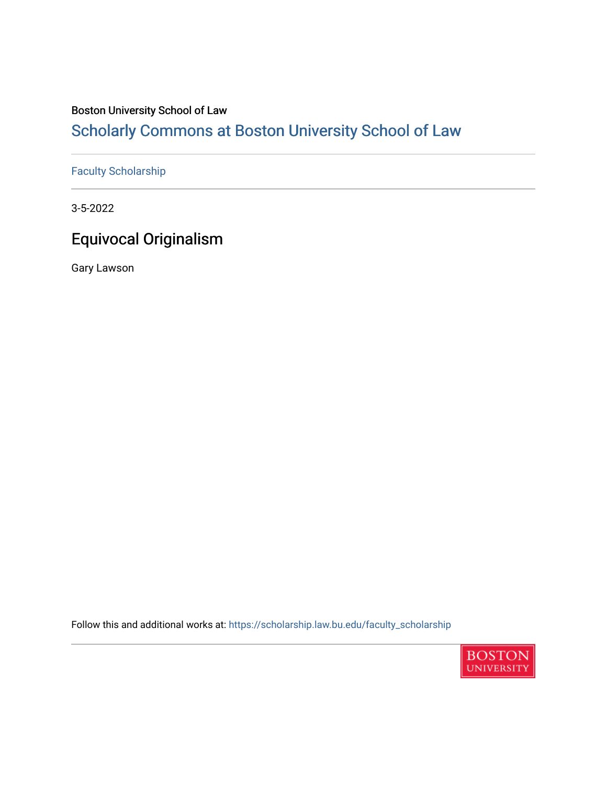### Boston University School of Law

# [Scholarly Commons at Boston University School of Law](https://scholarship.law.bu.edu/)

## [Faculty Scholarship](https://scholarship.law.bu.edu/faculty_scholarship)

3-5-2022

# Equivocal Originalism

Gary Lawson

Follow this and additional works at: [https://scholarship.law.bu.edu/faculty\\_scholarship](https://scholarship.law.bu.edu/faculty_scholarship?utm_source=scholarship.law.bu.edu%2Ffaculty_scholarship%2F1375&utm_medium=PDF&utm_campaign=PDFCoverPages)

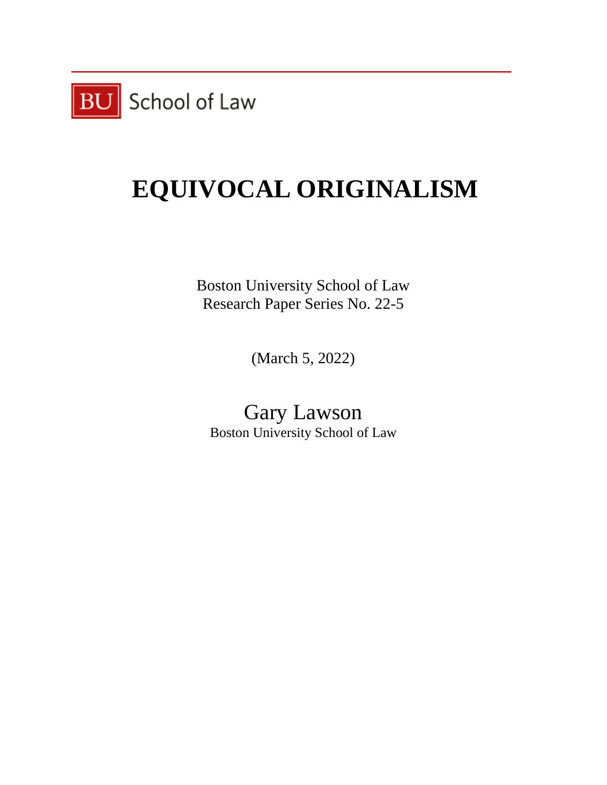

# **EQUIVOCAL ORIGINALISM**

Boston University School of Law Research Paper Series No. 22-5

(March 5, 2022)

Gary Lawson Boston University School of Law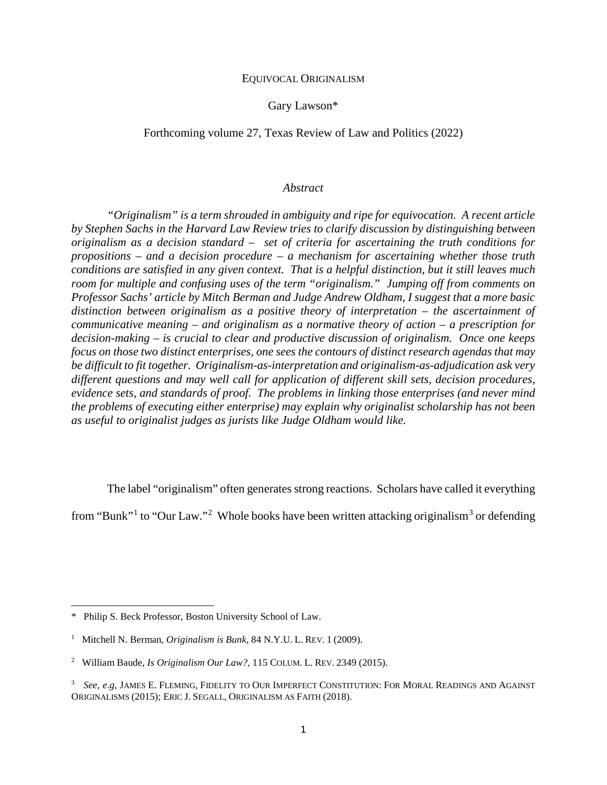### EQUIVOCAL ORIGINALISM

Gary Lawson\*

### Forthcoming volume 27, Texas Review of Law and Politics (2022)

#### *Abstract*

*"Originalism" is a term shrouded in ambiguity and ripe for equivocation. A recent article by Stephen Sachs in the Harvard Law Review tries to clarify discussion by distinguishing between originalism as a decision standard – set of criteria for ascertaining the truth conditions for propositions – and a decision procedure – a mechanism for ascertaining whether those truth conditions are satisfied in any given context. That is a helpful distinction, but it still leaves much room for multiple and confusing uses of the term "originalism." Jumping off from comments on Professor Sachs' article by Mitch Berman and Judge Andrew Oldham, I suggest that a more basic distinction between originalism as a positive theory of interpretation – the ascertainment of communicative meaning – and originalism as a normative theory of action – a prescription for decision-making – is crucial to clear and productive discussion of originalism. Once one keeps focus on those two distinct enterprises, one sees the contours of distinct research agendas that may be difficult to fit together. Originalism-as-interpretation and originalism-as-adjudication ask very different questions and may well call for application of different skill sets, decision procedures, evidence sets, and standards of proof. The problems in linking those enterprises (and never mind the problems of executing either enterprise) may explain why originalist scholarship has not been as useful to originalist judges as jurists like Judge Oldham would like.*

The label "originalism" often generates strong reactions. Scholars have called it everything

from "Bunk"<sup>[1](#page-2-0)</sup> to "Our Law."<sup>[2](#page-2-1)</sup> Whole books have been written attacking originalism<sup>[3](#page-2-2)</sup> or defending

<span id="page-2-0"></span><sup>\*</sup> Philip S. Beck Professor, Boston University School of Law.

<sup>&</sup>lt;sup>1</sup> Mitchell N. Berman, *Originalism is Bunk*, 84 N.Y.U. L. REV. 1 (2009).

<span id="page-2-1"></span><sup>2</sup> William Baude, *Is Originalism Our Law?,* 115 COLUM. L. REV. 2349 (2015).

<span id="page-2-2"></span><sup>3</sup> *See, e.g,* JAMES E. FLEMING, FIDELITY TO OUR IMPERFECT CONSTITUTION: FOR MORAL READINGS AND AGAINST ORIGINALISMS (2015); ERIC J. SEGALL, ORIGINALISM AS FAITH (2018).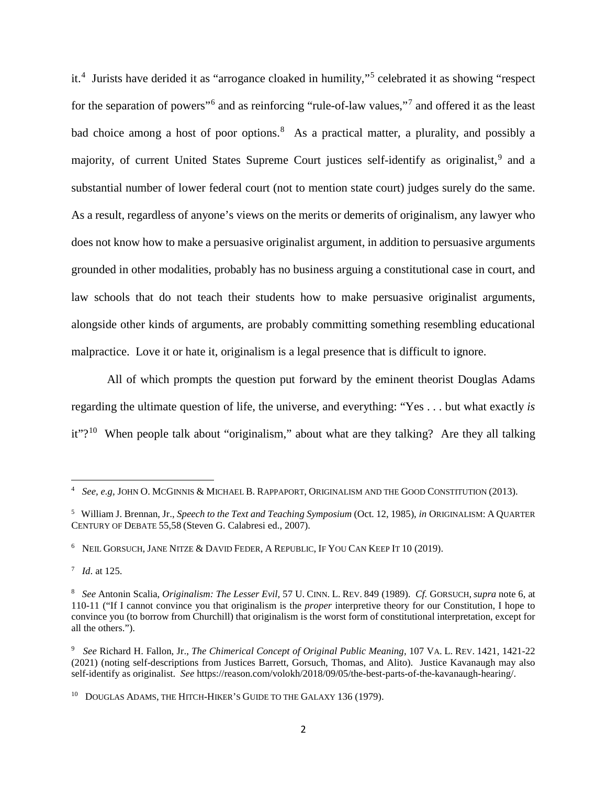it.[4](#page-3-0) Jurists have derided it as "arrogance cloaked in humility,"[5](#page-3-1) celebrated it as showing "respect for the separation of powers<sup>"[6](#page-3-2)</sup> and as reinforcing "rule-of-law values,"<sup>[7](#page-3-3)</sup> and offered it as the least bad choice among a host of poor options.<sup>[8](#page-3-4)</sup> As a practical matter, a plurality, and possibly a majority, of current United States Supreme Court justices self-identify as originalist,<sup>[9](#page-3-5)</sup> and a substantial number of lower federal court (not to mention state court) judges surely do the same. As a result, regardless of anyone's views on the merits or demerits of originalism, any lawyer who does not know how to make a persuasive originalist argument, in addition to persuasive arguments grounded in other modalities, probably has no business arguing a constitutional case in court, and law schools that do not teach their students how to make persuasive originalist arguments, alongside other kinds of arguments, are probably committing something resembling educational malpractice. Love it or hate it, originalism is a legal presence that is difficult to ignore.

All of which prompts the question put forward by the eminent theorist Douglas Adams regarding the ultimate question of life, the universe, and everything: "Yes . . . but what exactly *is* it"?<sup>[10](#page-3-6)</sup> When people talk about "originalism," about what are they talking? Are they all talking

<span id="page-3-0"></span><sup>4</sup> *See, e.g,* JOHN O. MCGINNIS & MICHAEL B. RAPPAPORT, ORIGINALISM AND THE GOOD CONSTITUTION (2013).

<span id="page-3-1"></span><sup>5</sup> William J. Brennan, Jr., *Speech to the Text and Teaching Symposium* (Oct. 12, 1985), *in* ORIGINALISM: A QUARTER CENTURY OF DEBATE 55,58 (Steven G. Calabresi ed., 2007).

<span id="page-3-2"></span><sup>6</sup> NEIL GORSUCH, JANE NITZE & DAVID FEDER, A REPUBLIC, IF YOU CAN KEEP IT 10 (2019).

<span id="page-3-3"></span><sup>7</sup> *Id*. at 125.

<span id="page-3-4"></span><sup>8</sup> *See* Antonin Scalia, *Originalism: The Lesser Evil,* 57 U. CINN. L. REV. 849 (1989). *Cf.* GORSUCH, *supra* note 6, at 110-11 ("If I cannot convince you that originalism is the *proper* interpretive theory for our Constitution, I hope to convince you (to borrow from Churchill) that originalism is the worst form of constitutional interpretation, except for all the others.").

<span id="page-3-5"></span><sup>9</sup> *See* Richard H. Fallon, Jr., *The Chimerical Concept of Original Public Meaning,* 107 VA. L. REV. 1421, 1421-22 (2021) (noting self-descriptions from Justices Barrett, Gorsuch, Thomas, and Alito). Justice Kavanaugh may also self-identify as originalist. *See* https://reason.com/volokh/2018/09/05/the-best-parts-of-the-kavanaugh-hearing/.

<span id="page-3-6"></span><sup>&</sup>lt;sup>10</sup> DOUGLAS ADAMS, THE HITCH-HIKER'S GUIDE TO THE GALAXY 136 (1979).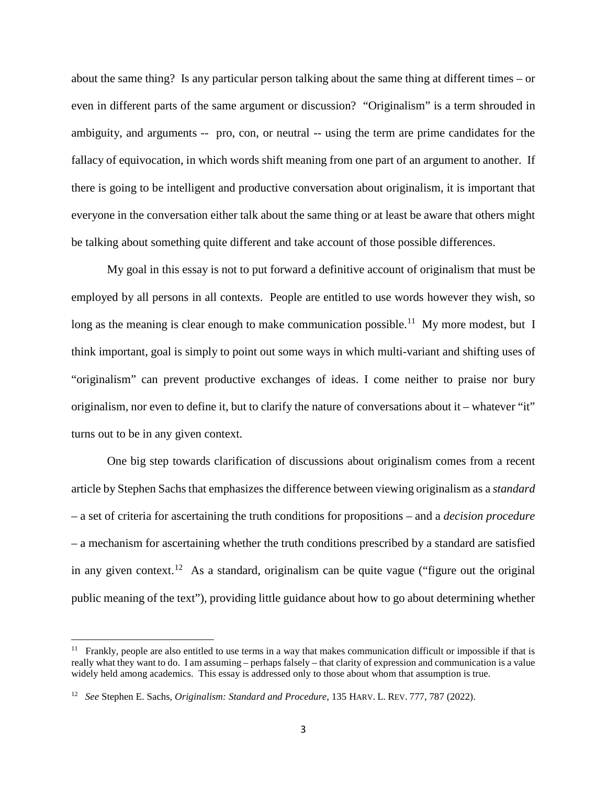about the same thing? Is any particular person talking about the same thing at different times – or even in different parts of the same argument or discussion? "Originalism" is a term shrouded in ambiguity, and arguments -- pro, con, or neutral -- using the term are prime candidates for the fallacy of equivocation, in which words shift meaning from one part of an argument to another. If there is going to be intelligent and productive conversation about originalism, it is important that everyone in the conversation either talk about the same thing or at least be aware that others might be talking about something quite different and take account of those possible differences.

My goal in this essay is not to put forward a definitive account of originalism that must be employed by all persons in all contexts. People are entitled to use words however they wish, so long as the meaning is clear enough to make communication possible.<sup>[11](#page-4-0)</sup> My more modest, but I think important, goal is simply to point out some ways in which multi-variant and shifting uses of "originalism" can prevent productive exchanges of ideas. I come neither to praise nor bury originalism, nor even to define it, but to clarify the nature of conversations about it – whatever "it" turns out to be in any given context.

One big step towards clarification of discussions about originalism comes from a recent article by Stephen Sachs that emphasizes the difference between viewing originalism as a *standard*  – a set of criteria for ascertaining the truth conditions for propositions – and a *decision procedure* – a mechanism for ascertaining whether the truth conditions prescribed by a standard are satisfied in any given context.<sup>[12](#page-4-1)</sup> As a standard, originalism can be quite vague ("figure out the original") public meaning of the text"), providing little guidance about how to go about determining whether

 $\overline{a}$ 

<span id="page-4-0"></span> $11$  Frankly, people are also entitled to use terms in a way that makes communication difficult or impossible if that is really what they want to do. I am assuming – perhaps falsely – that clarity of expression and communication is a value widely held among academics. This essay is addressed only to those about whom that assumption is true.

<span id="page-4-1"></span><sup>12</sup> *See* Stephen E. Sachs, *Originalism: Standard and Procedure*, 135 HARV. L. REV. 777, 787 (2022).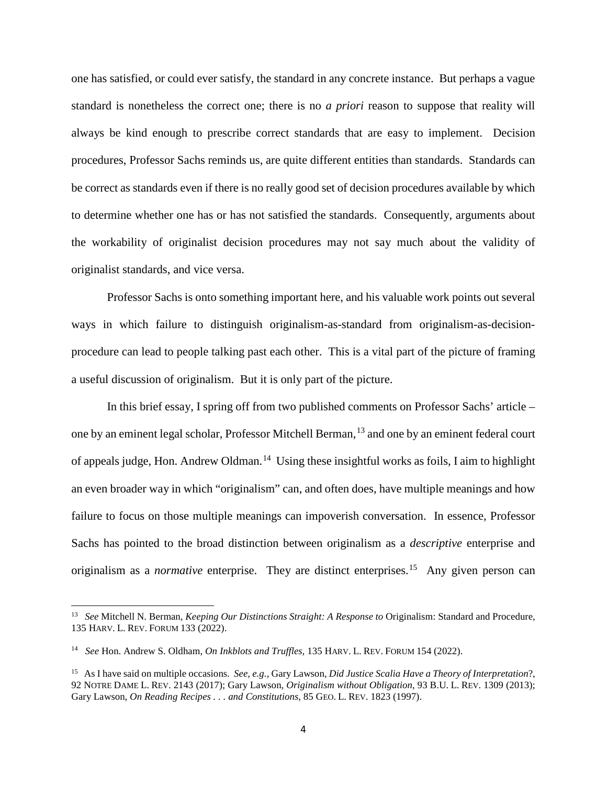one has satisfied, or could ever satisfy, the standard in any concrete instance. But perhaps a vague standard is nonetheless the correct one; there is no *a priori* reason to suppose that reality will always be kind enough to prescribe correct standards that are easy to implement. Decision procedures, Professor Sachs reminds us, are quite different entities than standards. Standards can be correct as standards even if there is no really good set of decision procedures available by which to determine whether one has or has not satisfied the standards. Consequently, arguments about the workability of originalist decision procedures may not say much about the validity of originalist standards, and vice versa.

Professor Sachs is onto something important here, and his valuable work points out several ways in which failure to distinguish originalism-as-standard from originalism-as-decisionprocedure can lead to people talking past each other. This is a vital part of the picture of framing a useful discussion of originalism. But it is only part of the picture.

In this brief essay, I spring off from two published comments on Professor Sachs' article – one by an eminent legal scholar, Professor Mitchell Berman,<sup>[13](#page-5-0)</sup> and one by an eminent federal court of appeals judge, Hon. Andrew Oldman.<sup>[14](#page-5-1)</sup> Using these insightful works as foils, I aim to highlight an even broader way in which "originalism" can, and often does, have multiple meanings and how failure to focus on those multiple meanings can impoverish conversation. In essence, Professor Sachs has pointed to the broad distinction between originalism as a *descriptive* enterprise and originalism as a *normative* enterprise. They are distinct enterprises.<sup>15</sup> Any given person can

<span id="page-5-0"></span><sup>13</sup> *See* Mitchell N. Berman, *Keeping Our Distinctions Straight: A Response to* Originalism: Standard and Procedure, 135 HARV. L. REV. FORUM 133 (2022).

<span id="page-5-1"></span><sup>14</sup> *See* Hon. Andrew S. Oldham, *On Inkblots and Truffles,* 135 HARV. L. REV. FORUM 154 (2022).

<span id="page-5-2"></span><sup>15</sup> As I have said on multiple occasions. *See, e.g.,* Gary Lawson*, Did Justice Scalia Have a Theory of Interpretation*?, 92 NOTRE DAME L. REV. 2143 (2017); Gary Lawson, *Originalism without Obligation*, 93 B.U. L. REV. 1309 (2013); Gary Lawson, *On Reading Recipes . . . and Constitutions*, 85 GEO. L. REV. 1823 (1997).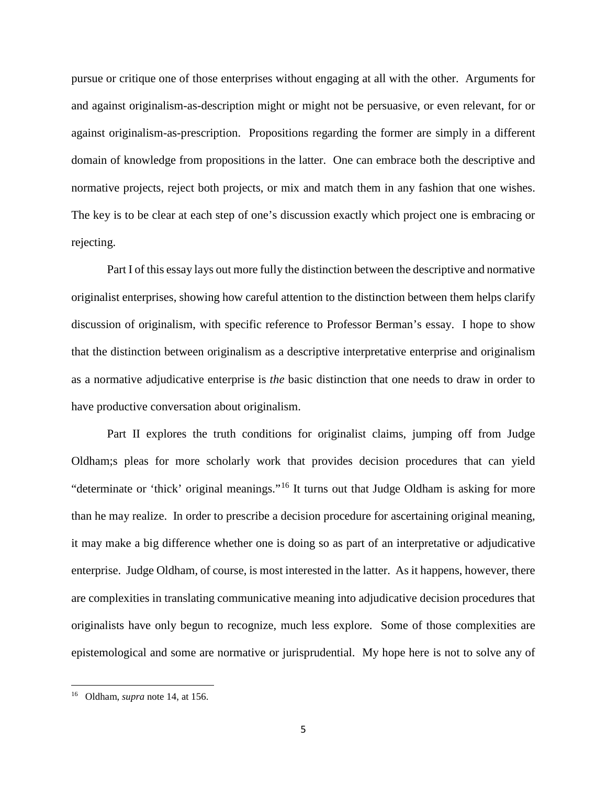pursue or critique one of those enterprises without engaging at all with the other. Arguments for and against originalism-as-description might or might not be persuasive, or even relevant, for or against originalism-as-prescription. Propositions regarding the former are simply in a different domain of knowledge from propositions in the latter. One can embrace both the descriptive and normative projects, reject both projects, or mix and match them in any fashion that one wishes. The key is to be clear at each step of one's discussion exactly which project one is embracing or rejecting.

Part I of this essay lays out more fully the distinction between the descriptive and normative originalist enterprises, showing how careful attention to the distinction between them helps clarify discussion of originalism, with specific reference to Professor Berman's essay. I hope to show that the distinction between originalism as a descriptive interpretative enterprise and originalism as a normative adjudicative enterprise is *the* basic distinction that one needs to draw in order to have productive conversation about originalism.

Part II explores the truth conditions for originalist claims, jumping off from Judge Oldham;s pleas for more scholarly work that provides decision procedures that can yield "determinate or 'thick' original meanings."[16](#page-6-0) It turns out that Judge Oldham is asking for more than he may realize. In order to prescribe a decision procedure for ascertaining original meaning, it may make a big difference whether one is doing so as part of an interpretative or adjudicative enterprise. Judge Oldham, of course, is most interested in the latter. As it happens, however, there are complexities in translating communicative meaning into adjudicative decision procedures that originalists have only begun to recognize, much less explore. Some of those complexities are epistemological and some are normative or jurisprudential. My hope here is not to solve any of

<span id="page-6-0"></span><sup>16</sup> Oldham, *supra* note 14, at 156.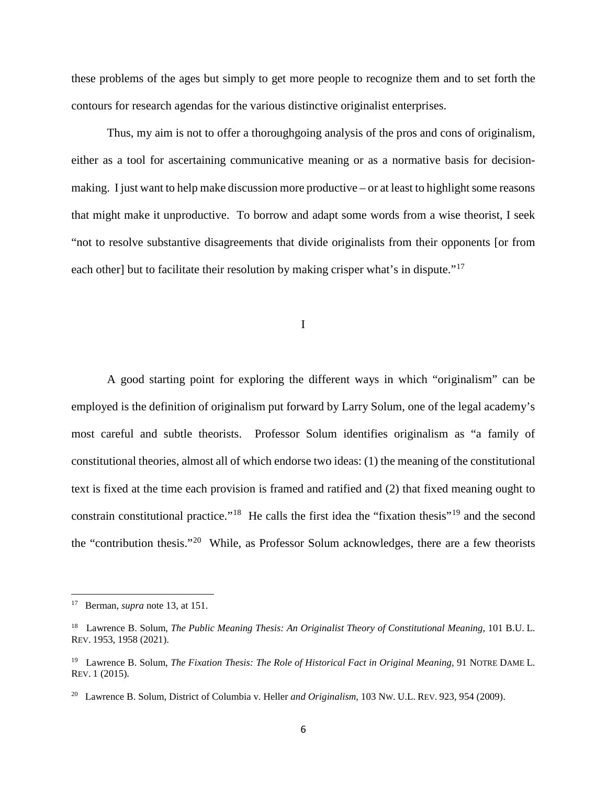these problems of the ages but simply to get more people to recognize them and to set forth the contours for research agendas for the various distinctive originalist enterprises.

Thus, my aim is not to offer a thoroughgoing analysis of the pros and cons of originalism, either as a tool for ascertaining communicative meaning or as a normative basis for decisionmaking. I just want to help make discussion more productive – or at least to highlight some reasons that might make it unproductive. To borrow and adapt some words from a wise theorist, I seek "not to resolve substantive disagreements that divide originalists from their opponents [or from each other] but to facilitate their resolution by making crisper what's in dispute."<sup>[17](#page-7-0)</sup>

I

A good starting point for exploring the different ways in which "originalism" can be employed is the definition of originalism put forward by Larry Solum, one of the legal academy's most careful and subtle theorists. Professor Solum identifies originalism as "a family of constitutional theories, almost all of which endorse two ideas: (1) the meaning of the constitutional text is fixed at the time each provision is framed and ratified and (2) that fixed meaning ought to constrain constitutional practice."[18](#page-7-1) He calls the first idea the "fixation thesis"[19](#page-7-2) and the second the "contribution thesis."[20](#page-7-3) While, as Professor Solum acknowledges, there are a few theorists

<span id="page-7-0"></span><sup>17</sup> Berman, *supra* note 13, at 151.

<span id="page-7-1"></span><sup>&</sup>lt;sup>18</sup> Lawrence B. Solum, *The Public Meaning Thesis: An Originalist Theory of Constitutional Meaning*, 101 B.U. L. REV. 1953, 1958 (2021).

<span id="page-7-2"></span><sup>&</sup>lt;sup>19</sup> Lawrence B. Solum, *The Fixation Thesis: The Role of Historical Fact in Original Meaning*, 91 NOTRE DAME L. REV. 1 (2015).

<span id="page-7-3"></span><sup>20</sup> Lawrence B. Solum, District of Columbia v. Heller *and Originalism,* 103 NW. U.L. REV. 923, 954 (2009).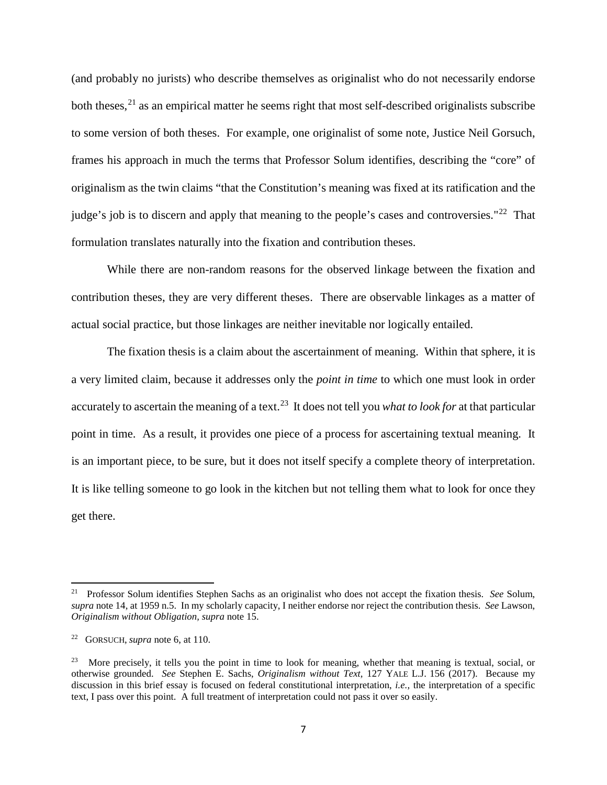(and probably no jurists) who describe themselves as originalist who do not necessarily endorse both theses,  $2<sup>1</sup>$  as an empirical matter he seems right that most self-described originalists subscribe to some version of both theses. For example, one originalist of some note, Justice Neil Gorsuch, frames his approach in much the terms that Professor Solum identifies, describing the "core" of originalism as the twin claims "that the Constitution's meaning was fixed at its ratification and the judge's job is to discern and apply that meaning to the people's cases and controversies."<sup>22</sup> That formulation translates naturally into the fixation and contribution theses.

While there are non-random reasons for the observed linkage between the fixation and contribution theses, they are very different theses. There are observable linkages as a matter of actual social practice, but those linkages are neither inevitable nor logically entailed.

The fixation thesis is a claim about the ascertainment of meaning. Within that sphere, it is a very limited claim, because it addresses only the *point in time* to which one must look in order accurately to ascertain the meaning of a text.[23](#page-8-2) It does not tell you *what to look for* at that particular point in time. As a result, it provides one piece of a process for ascertaining textual meaning. It is an important piece, to be sure, but it does not itself specify a complete theory of interpretation. It is like telling someone to go look in the kitchen but not telling them what to look for once they get there.

 $\overline{\phantom{a}}$ 

<span id="page-8-0"></span><sup>21</sup> Professor Solum identifies Stephen Sachs as an originalist who does not accept the fixation thesis. *See* Solum, *supra* note 14, at 1959 n.5. In my scholarly capacity, I neither endorse nor reject the contribution thesis. *See* Lawson, *Originalism without Obligation, supra* note 15.

<span id="page-8-1"></span><sup>22</sup> GORSUCH, *supra* note 6, at 110.

<span id="page-8-2"></span><sup>&</sup>lt;sup>23</sup> More precisely, it tells you the point in time to look for meaning, whether that meaning is textual, social, or otherwise grounded. *See* Stephen E. Sachs, *Originalism without Text,* 127 YALE L.J. 156 (2017). Because my discussion in this brief essay is focused on federal constitutional interpretation, *i.e.,* the interpretation of a specific text, I pass over this point. A full treatment of interpretation could not pass it over so easily.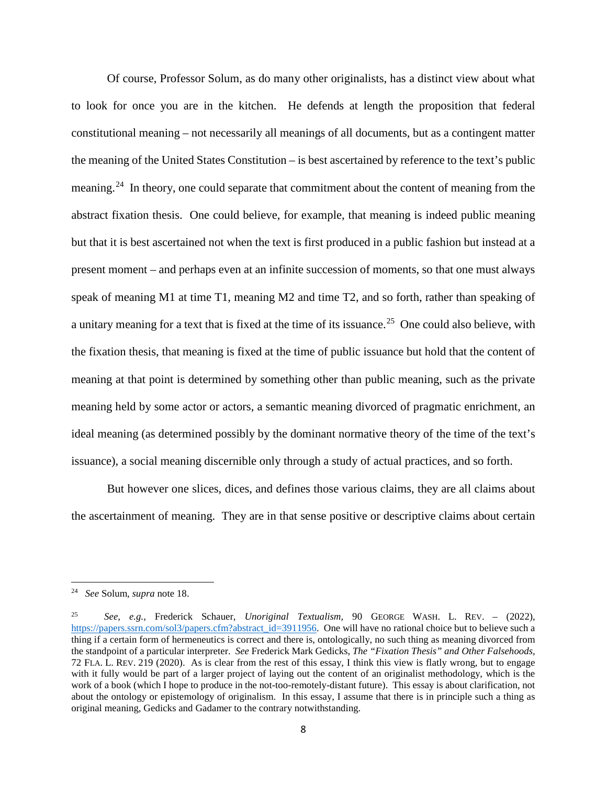Of course, Professor Solum, as do many other originalists, has a distinct view about what to look for once you are in the kitchen. He defends at length the proposition that federal constitutional meaning – not necessarily all meanings of all documents, but as a contingent matter the meaning of the United States Constitution – is best ascertained by reference to the text's public meaning.<sup>[24](#page-9-0)</sup> In theory, one could separate that commitment about the content of meaning from the abstract fixation thesis. One could believe, for example, that meaning is indeed public meaning but that it is best ascertained not when the text is first produced in a public fashion but instead at a present moment – and perhaps even at an infinite succession of moments, so that one must always speak of meaning M1 at time T1, meaning M2 and time T2, and so forth, rather than speaking of a unitary meaning for a text that is fixed at the time of its issuance.<sup>[25](#page-9-1)</sup> One could also believe, with the fixation thesis, that meaning is fixed at the time of public issuance but hold that the content of meaning at that point is determined by something other than public meaning, such as the private meaning held by some actor or actors, a semantic meaning divorced of pragmatic enrichment, an ideal meaning (as determined possibly by the dominant normative theory of the time of the text's issuance), a social meaning discernible only through a study of actual practices, and so forth.

But however one slices, dices, and defines those various claims, they are all claims about the ascertainment of meaning. They are in that sense positive or descriptive claims about certain

 $\overline{\phantom{a}}$ 

<span id="page-9-0"></span><sup>24</sup> *See* Solum, *supra* note 18.

<span id="page-9-1"></span><sup>25</sup> *See, e.g.,* Frederick Schauer, *Unoriginal Textualism,* 90 GEORGE WASH. L. REV. – (2022), [https://papers.ssrn.com/sol3/papers.cfm?abstract\\_id=3911956.](https://papers.ssrn.com/sol3/papers.cfm?abstract_id=3911956) One will have no rational choice but to believe such a thing if a certain form of hermeneutics is correct and there is, ontologically, no such thing as meaning divorced from the standpoint of a particular interpreter. *See* Frederick Mark Gedicks, *The "Fixation Thesis" and Other Falsehoods,*  72 FLA. L. REV. 219 (2020). As is clear from the rest of this essay, I think this view is flatly wrong, but to engage with it fully would be part of a larger project of laying out the content of an originalist methodology, which is the work of a book (which I hope to produce in the not-too-remotely-distant future). This essay is about clarification, not about the ontology or epistemology of originalism. In this essay, I assume that there is in principle such a thing as original meaning, Gedicks and Gadamer to the contrary notwithstanding.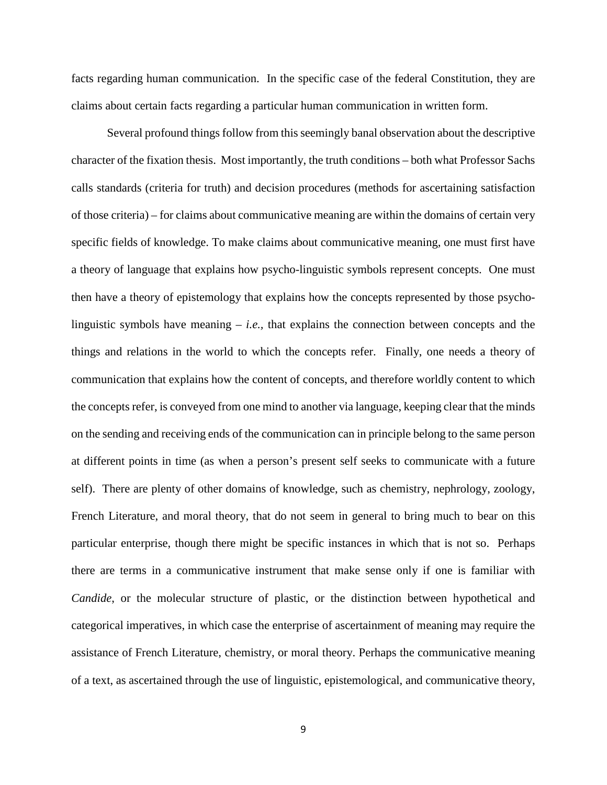facts regarding human communication. In the specific case of the federal Constitution, they are claims about certain facts regarding a particular human communication in written form.

Several profound things follow from this seemingly banal observation about the descriptive character of the fixation thesis. Most importantly, the truth conditions – both what Professor Sachs calls standards (criteria for truth) and decision procedures (methods for ascertaining satisfaction of those criteria) – for claims about communicative meaning are within the domains of certain very specific fields of knowledge. To make claims about communicative meaning, one must first have a theory of language that explains how psycho-linguistic symbols represent concepts. One must then have a theory of epistemology that explains how the concepts represented by those psycholinguistic symbols have meaning – *i.e.,* that explains the connection between concepts and the things and relations in the world to which the concepts refer. Finally, one needs a theory of communication that explains how the content of concepts, and therefore worldly content to which the concepts refer, is conveyed from one mind to another via language, keeping clear that the minds on the sending and receiving ends of the communication can in principle belong to the same person at different points in time (as when a person's present self seeks to communicate with a future self). There are plenty of other domains of knowledge, such as chemistry, nephrology, zoology, French Literature, and moral theory, that do not seem in general to bring much to bear on this particular enterprise, though there might be specific instances in which that is not so. Perhaps there are terms in a communicative instrument that make sense only if one is familiar with *Candide*, or the molecular structure of plastic, or the distinction between hypothetical and categorical imperatives, in which case the enterprise of ascertainment of meaning may require the assistance of French Literature, chemistry, or moral theory. Perhaps the communicative meaning of a text, as ascertained through the use of linguistic, epistemological, and communicative theory,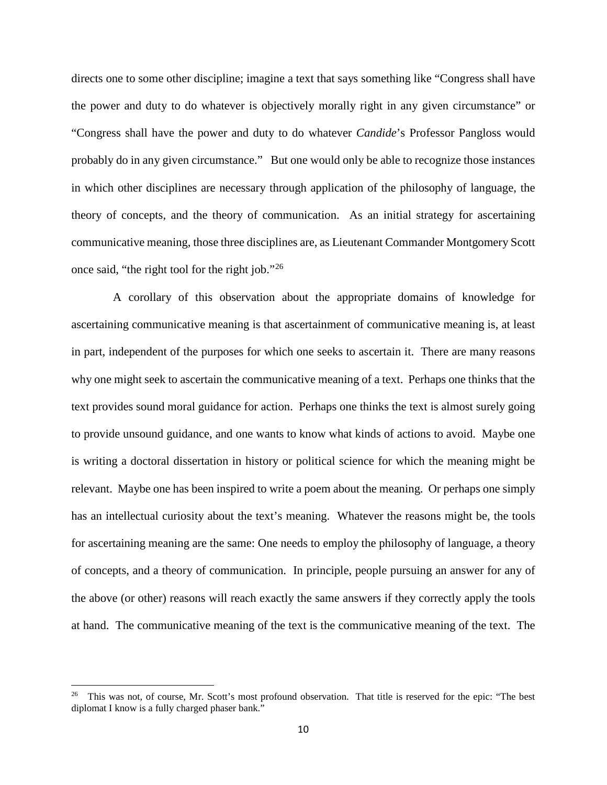directs one to some other discipline; imagine a text that says something like "Congress shall have the power and duty to do whatever is objectively morally right in any given circumstance" or "Congress shall have the power and duty to do whatever *Candide*'s Professor Pangloss would probably do in any given circumstance." But one would only be able to recognize those instances in which other disciplines are necessary through application of the philosophy of language, the theory of concepts, and the theory of communication. As an initial strategy for ascertaining communicative meaning, those three disciplines are, as Lieutenant Commander Montgomery Scott once said, "the right tool for the right job."[26](#page-11-0)

 A corollary of this observation about the appropriate domains of knowledge for ascertaining communicative meaning is that ascertainment of communicative meaning is, at least in part, independent of the purposes for which one seeks to ascertain it. There are many reasons why one might seek to ascertain the communicative meaning of a text. Perhaps one thinks that the text provides sound moral guidance for action. Perhaps one thinks the text is almost surely going to provide unsound guidance, and one wants to know what kinds of actions to avoid. Maybe one is writing a doctoral dissertation in history or political science for which the meaning might be relevant. Maybe one has been inspired to write a poem about the meaning. Or perhaps one simply has an intellectual curiosity about the text's meaning. Whatever the reasons might be, the tools for ascertaining meaning are the same: One needs to employ the philosophy of language, a theory of concepts, and a theory of communication. In principle, people pursuing an answer for any of the above (or other) reasons will reach exactly the same answers if they correctly apply the tools at hand. The communicative meaning of the text is the communicative meaning of the text. The

<span id="page-11-0"></span><sup>26</sup> This was not, of course, Mr. Scott's most profound observation. That title is reserved for the epic: "The best diplomat I know is a fully charged phaser bank."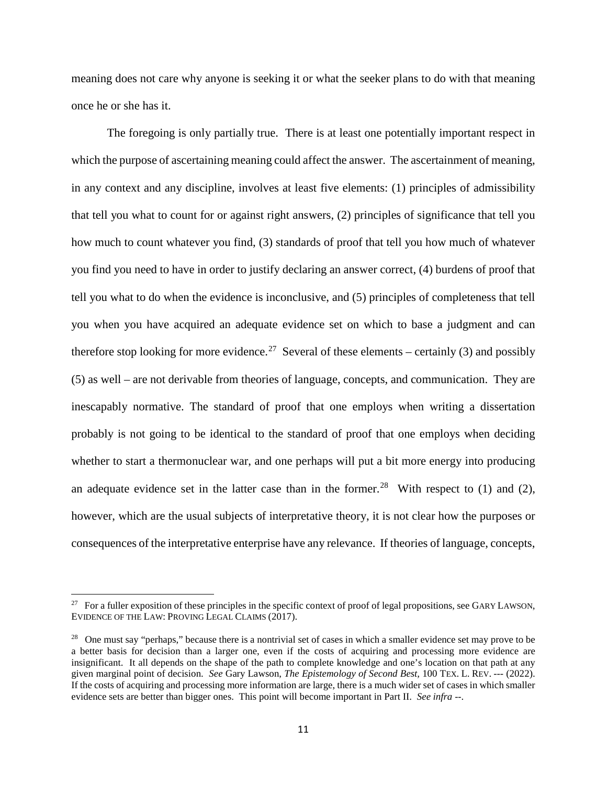meaning does not care why anyone is seeking it or what the seeker plans to do with that meaning once he or she has it.

The foregoing is only partially true. There is at least one potentially important respect in which the purpose of ascertaining meaning could affect the answer. The ascertainment of meaning, in any context and any discipline, involves at least five elements: (1) principles of admissibility that tell you what to count for or against right answers, (2) principles of significance that tell you how much to count whatever you find, (3) standards of proof that tell you how much of whatever you find you need to have in order to justify declaring an answer correct, (4) burdens of proof that tell you what to do when the evidence is inconclusive, and (5) principles of completeness that tell you when you have acquired an adequate evidence set on which to base a judgment and can therefore stop looking for more evidence.<sup>[27](#page-12-0)</sup> Several of these elements – certainly (3) and possibly (5) as well – are not derivable from theories of language, concepts, and communication. They are inescapably normative. The standard of proof that one employs when writing a dissertation probably is not going to be identical to the standard of proof that one employs when deciding whether to start a thermonuclear war, and one perhaps will put a bit more energy into producing an adequate evidence set in the latter case than in the former.<sup>28</sup> With respect to (1) and (2), however, which are the usual subjects of interpretative theory, it is not clear how the purposes or consequences of the interpretative enterprise have any relevance. If theories of language, concepts,

<span id="page-12-0"></span> $27$  For a fuller exposition of these principles in the specific context of proof of legal propositions, see GARY LAWSON, EVIDENCE OF THE LAW: PROVING LEGAL CLAIMS (2017).

<span id="page-12-1"></span><sup>&</sup>lt;sup>28</sup> One must say "perhaps," because there is a nontrivial set of cases in which a smaller evidence set may prove to be a better basis for decision than a larger one, even if the costs of acquiring and processing more evidence are insignificant. It all depends on the shape of the path to complete knowledge and one's location on that path at any given marginal point of decision. *See* Gary Lawson, *The Epistemology of Second Best,* 100 TEX. L. REV. --- (2022). If the costs of acquiring and processing more information are large, there is a much wider set of cases in which smaller evidence sets are better than bigger ones. This point will become important in Part II. *See infra* --.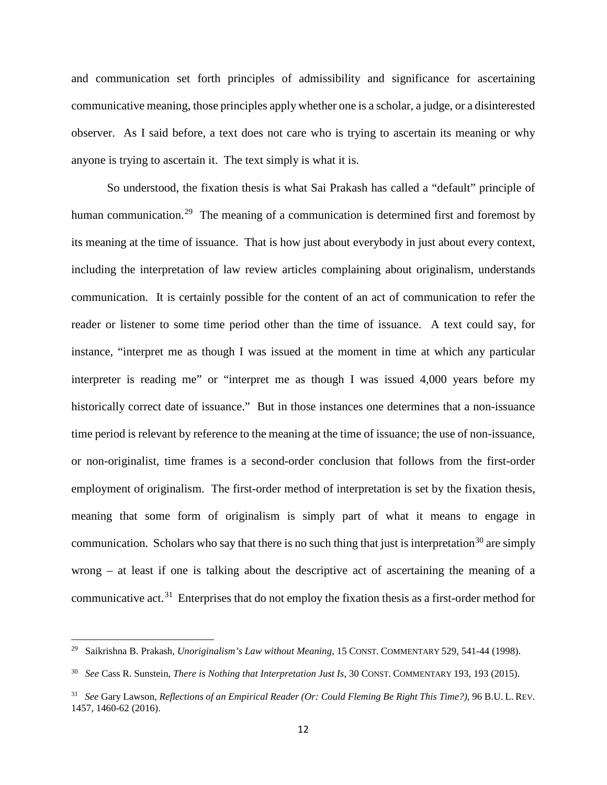and communication set forth principles of admissibility and significance for ascertaining communicative meaning, those principles apply whether one is a scholar, a judge, or a disinterested observer. As I said before, a text does not care who is trying to ascertain its meaning or why anyone is trying to ascertain it. The text simply is what it is.

So understood, the fixation thesis is what Sai Prakash has called a "default" principle of human communication.<sup>29</sup> The meaning of a communication is determined first and foremost by its meaning at the time of issuance. That is how just about everybody in just about every context, including the interpretation of law review articles complaining about originalism, understands communication. It is certainly possible for the content of an act of communication to refer the reader or listener to some time period other than the time of issuance. A text could say, for instance, "interpret me as though I was issued at the moment in time at which any particular interpreter is reading me" or "interpret me as though I was issued 4,000 years before my historically correct date of issuance." But in those instances one determines that a non-issuance time period is relevant by reference to the meaning at the time of issuance; the use of non-issuance, or non-originalist, time frames is a second-order conclusion that follows from the first-order employment of originalism. The first-order method of interpretation is set by the fixation thesis, meaning that some form of originalism is simply part of what it means to engage in communication. Scholars who say that there is no such thing that just is interpretation<sup>[30](#page-13-1)</sup> are simply wrong – at least if one is talking about the descriptive act of ascertaining the meaning of a communicative act.<sup>[31](#page-13-2)</sup> Enterprises that do not employ the fixation thesis as a first-order method for

 $\overline{a}$ 

<span id="page-13-0"></span><sup>29</sup> Saikrishna B. Prakash, *Unoriginalism's Law without Meaning*, 15 CONST. COMMENTARY 529, 541-44 (1998).

<span id="page-13-1"></span><sup>30</sup> *See* Cass R. Sunstein, *There is Nothing that Interpretation Just Is,* 30 CONST. COMMENTARY 193, 193 (2015).

<span id="page-13-2"></span><sup>31</sup> *See* Gary Lawson, *Reflections of an Empirical Reader (Or: Could Fleming Be Right This Time?),* 96 B.U. L. REV. 1457, 1460-62 (2016).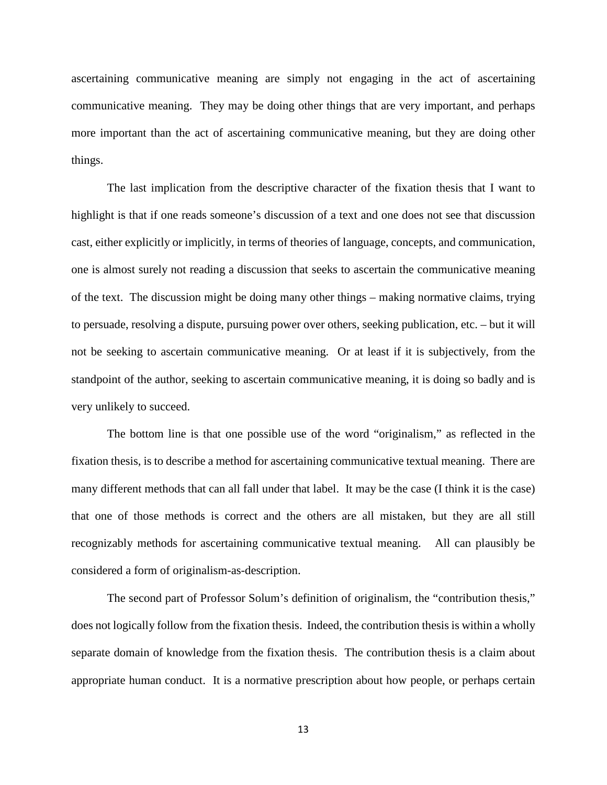ascertaining communicative meaning are simply not engaging in the act of ascertaining communicative meaning. They may be doing other things that are very important, and perhaps more important than the act of ascertaining communicative meaning, but they are doing other things.

The last implication from the descriptive character of the fixation thesis that I want to highlight is that if one reads someone's discussion of a text and one does not see that discussion cast, either explicitly or implicitly, in terms of theories of language, concepts, and communication, one is almost surely not reading a discussion that seeks to ascertain the communicative meaning of the text. The discussion might be doing many other things – making normative claims, trying to persuade, resolving a dispute, pursuing power over others, seeking publication, etc. – but it will not be seeking to ascertain communicative meaning. Or at least if it is subjectively, from the standpoint of the author, seeking to ascertain communicative meaning, it is doing so badly and is very unlikely to succeed.

The bottom line is that one possible use of the word "originalism," as reflected in the fixation thesis, is to describe a method for ascertaining communicative textual meaning. There are many different methods that can all fall under that label. It may be the case (I think it is the case) that one of those methods is correct and the others are all mistaken, but they are all still recognizably methods for ascertaining communicative textual meaning. All can plausibly be considered a form of originalism-as-description.

The second part of Professor Solum's definition of originalism, the "contribution thesis," does not logically follow from the fixation thesis. Indeed, the contribution thesis is within a wholly separate domain of knowledge from the fixation thesis. The contribution thesis is a claim about appropriate human conduct. It is a normative prescription about how people, or perhaps certain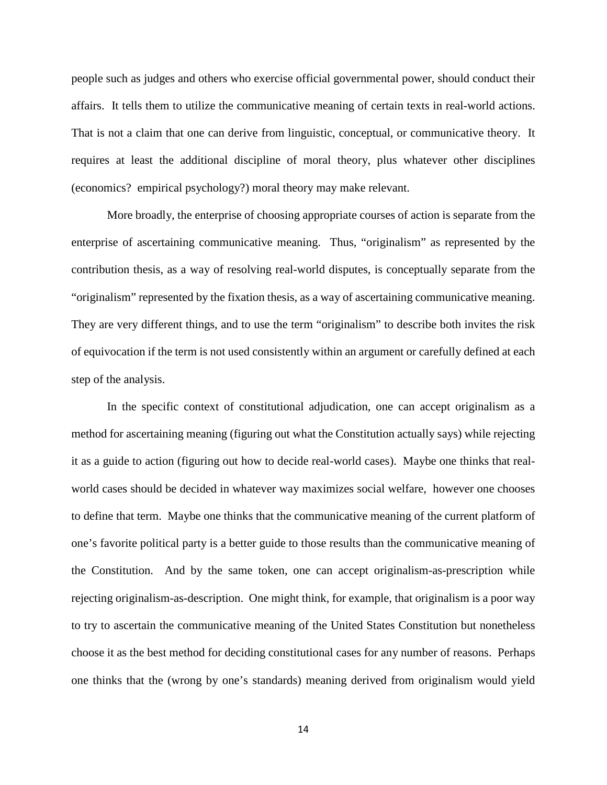people such as judges and others who exercise official governmental power, should conduct their affairs. It tells them to utilize the communicative meaning of certain texts in real-world actions. That is not a claim that one can derive from linguistic, conceptual, or communicative theory. It requires at least the additional discipline of moral theory, plus whatever other disciplines (economics? empirical psychology?) moral theory may make relevant.

More broadly, the enterprise of choosing appropriate courses of action is separate from the enterprise of ascertaining communicative meaning. Thus, "originalism" as represented by the contribution thesis, as a way of resolving real-world disputes, is conceptually separate from the "originalism" represented by the fixation thesis, as a way of ascertaining communicative meaning. They are very different things, and to use the term "originalism" to describe both invites the risk of equivocation if the term is not used consistently within an argument or carefully defined at each step of the analysis.

In the specific context of constitutional adjudication, one can accept originalism as a method for ascertaining meaning (figuring out what the Constitution actually says) while rejecting it as a guide to action (figuring out how to decide real-world cases). Maybe one thinks that realworld cases should be decided in whatever way maximizes social welfare, however one chooses to define that term. Maybe one thinks that the communicative meaning of the current platform of one's favorite political party is a better guide to those results than the communicative meaning of the Constitution. And by the same token, one can accept originalism-as-prescription while rejecting originalism-as-description. One might think, for example, that originalism is a poor way to try to ascertain the communicative meaning of the United States Constitution but nonetheless choose it as the best method for deciding constitutional cases for any number of reasons. Perhaps one thinks that the (wrong by one's standards) meaning derived from originalism would yield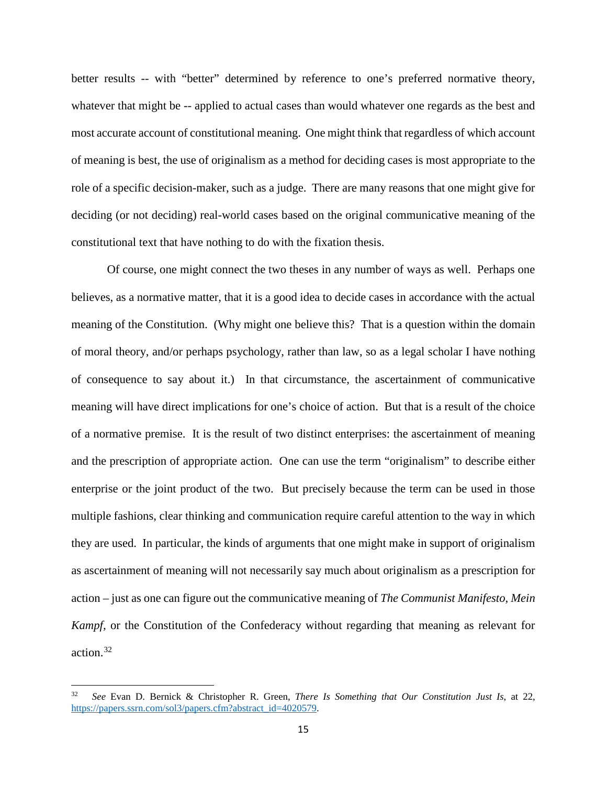better results -- with "better" determined by reference to one's preferred normative theory, whatever that might be -- applied to actual cases than would whatever one regards as the best and most accurate account of constitutional meaning. One might think that regardless of which account of meaning is best, the use of originalism as a method for deciding cases is most appropriate to the role of a specific decision-maker, such as a judge. There are many reasons that one might give for deciding (or not deciding) real-world cases based on the original communicative meaning of the constitutional text that have nothing to do with the fixation thesis.

Of course, one might connect the two theses in any number of ways as well. Perhaps one believes, as a normative matter, that it is a good idea to decide cases in accordance with the actual meaning of the Constitution. (Why might one believe this? That is a question within the domain of moral theory, and/or perhaps psychology, rather than law, so as a legal scholar I have nothing of consequence to say about it.) In that circumstance, the ascertainment of communicative meaning will have direct implications for one's choice of action. But that is a result of the choice of a normative premise. It is the result of two distinct enterprises: the ascertainment of meaning and the prescription of appropriate action. One can use the term "originalism" to describe either enterprise or the joint product of the two. But precisely because the term can be used in those multiple fashions, clear thinking and communication require careful attention to the way in which they are used. In particular, the kinds of arguments that one might make in support of originalism as ascertainment of meaning will not necessarily say much about originalism as a prescription for action – just as one can figure out the communicative meaning of *The Communist Manifesto, Mein Kampf,* or the Constitution of the Confederacy without regarding that meaning as relevant for action.[32](#page-16-0)

<span id="page-16-0"></span><sup>32</sup> *See* Evan D. Bernick & Christopher R. Green, *There Is Something that Our Constitution Just Is*, at 22, [https://papers.ssrn.com/sol3/papers.cfm?abstract\\_id=4020579.](https://papers.ssrn.com/sol3/papers.cfm?abstract_id=4020579)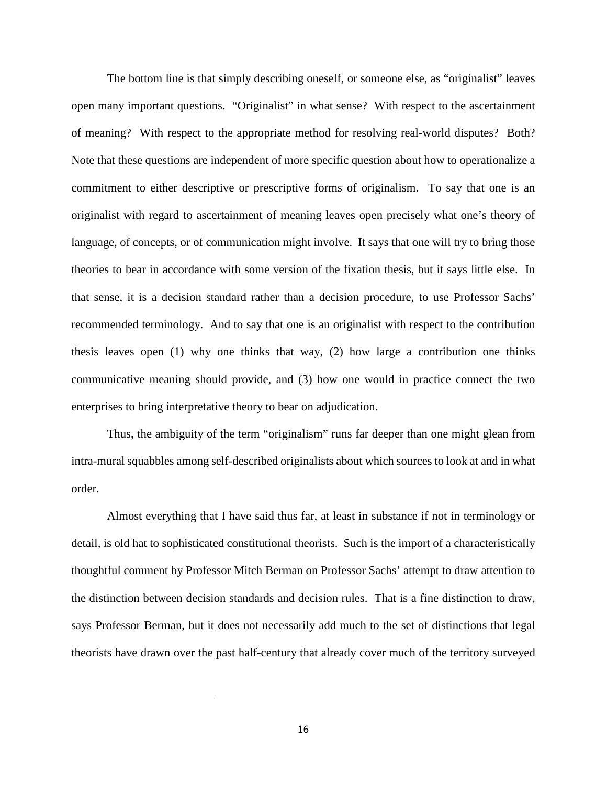The bottom line is that simply describing oneself, or someone else, as "originalist" leaves open many important questions. "Originalist" in what sense? With respect to the ascertainment of meaning? With respect to the appropriate method for resolving real-world disputes? Both? Note that these questions are independent of more specific question about how to operationalize a commitment to either descriptive or prescriptive forms of originalism. To say that one is an originalist with regard to ascertainment of meaning leaves open precisely what one's theory of language, of concepts, or of communication might involve. It says that one will try to bring those theories to bear in accordance with some version of the fixation thesis, but it says little else. In that sense, it is a decision standard rather than a decision procedure, to use Professor Sachs' recommended terminology. And to say that one is an originalist with respect to the contribution thesis leaves open (1) why one thinks that way, (2) how large a contribution one thinks communicative meaning should provide, and (3) how one would in practice connect the two enterprises to bring interpretative theory to bear on adjudication.

Thus, the ambiguity of the term "originalism" runs far deeper than one might glean from intra-mural squabbles among self-described originalists about which sources to look at and in what order.

Almost everything that I have said thus far, at least in substance if not in terminology or detail, is old hat to sophisticated constitutional theorists. Such is the import of a characteristically thoughtful comment by Professor Mitch Berman on Professor Sachs' attempt to draw attention to the distinction between decision standards and decision rules. That is a fine distinction to draw, says Professor Berman, but it does not necessarily add much to the set of distinctions that legal theorists have drawn over the past half-century that already cover much of the territory surveyed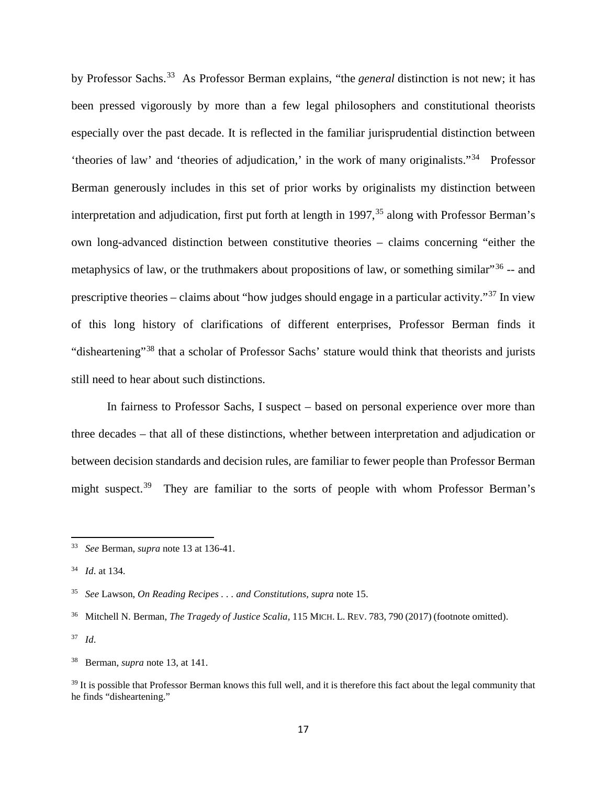by Professor Sachs.[33](#page-18-0) As Professor Berman explains, "the *general* distinction is not new; it has been pressed vigorously by more than a few legal philosophers and constitutional theorists especially over the past decade. It is reflected in the familiar jurisprudential distinction between 'theories of law' and 'theories of adjudication,' in the work of many originalists."[34](#page-18-1) Professor Berman generously includes in this set of prior works by originalists my distinction between interpretation and adjudication, first put forth at length in  $1997$ ,  $35$  along with Professor Berman's own long-advanced distinction between constitutive theories – claims concerning "either the metaphysics of law, or the truthmakers about propositions of law, or something similar"<sup>[36](#page-18-3)</sup> -- and prescriptive theories – claims about "how judges should engage in a particular activity."[37](#page-18-4) In view of this long history of clarifications of different enterprises, Professor Berman finds it "disheartening"[38](#page-18-5) that a scholar of Professor Sachs' stature would think that theorists and jurists still need to hear about such distinctions.

In fairness to Professor Sachs, I suspect – based on personal experience over more than three decades – that all of these distinctions, whether between interpretation and adjudication or between decision standards and decision rules, are familiar to fewer people than Professor Berman might suspect.<sup>[39](#page-18-6)</sup> They are familiar to the sorts of people with whom Professor Berman's

<span id="page-18-0"></span><sup>33</sup> *See* Berman, *supra* note 13 at 136-41.

<span id="page-18-1"></span><sup>34</sup> *Id*. at 134.

<span id="page-18-2"></span><sup>35</sup> *See* Lawson, *On Reading Recipes . . . and Constitutions, supra* note 15.

<span id="page-18-3"></span><sup>36</sup> Mitchell N. Berman, *The Tragedy of Justice Scalia,* 115 MICH. L. REV. 783, 790 (2017) (footnote omitted).

<span id="page-18-4"></span><sup>37</sup> *Id*.

<span id="page-18-5"></span><sup>38</sup> Berman, *supra* note 13, at 141.

<span id="page-18-6"></span> $39$  It is possible that Professor Berman knows this full well, and it is therefore this fact about the legal community that he finds "disheartening."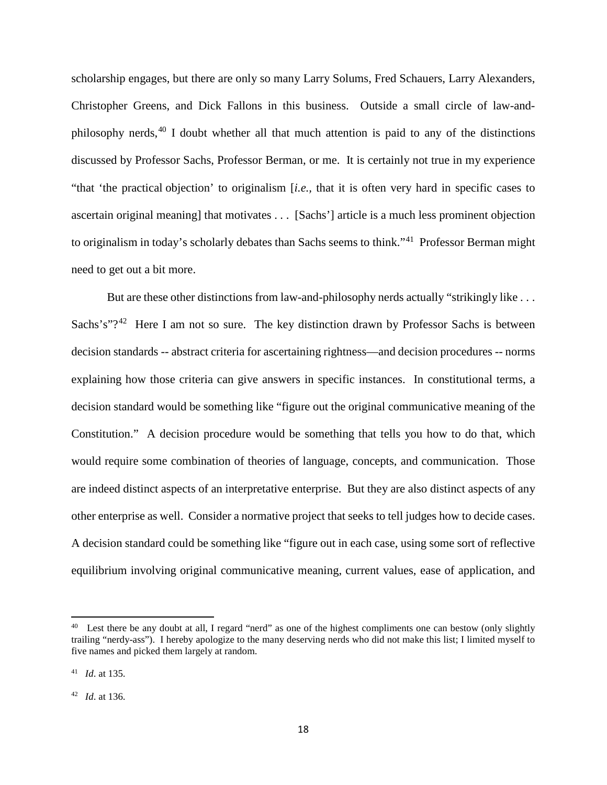scholarship engages, but there are only so many Larry Solums, Fred Schauers, Larry Alexanders, Christopher Greens, and Dick Fallons in this business. Outside a small circle of law-andphilosophy nerds, $40$  I doubt whether all that much attention is paid to any of the distinctions discussed by Professor Sachs, Professor Berman, or me. It is certainly not true in my experience "that 'the practical objection' to originalism [*i.e.,* that it is often very hard in specific cases to ascertain original meaning] that motivates . . . [Sachs'] article is a much less prominent objection to originalism in today's scholarly debates than Sachs seems to think."[41](#page-19-1) Professor Berman might need to get out a bit more.

But are these other distinctions from law-and-philosophy nerds actually "strikingly like . . . Sachs's"?<sup>[42](#page-19-2)</sup> Here I am not so sure. The key distinction drawn by Professor Sachs is between decision standards -- abstract criteria for ascertaining rightness—and decision procedures -- norms explaining how those criteria can give answers in specific instances. In constitutional terms, a decision standard would be something like "figure out the original communicative meaning of the Constitution." A decision procedure would be something that tells you how to do that, which would require some combination of theories of language, concepts, and communication. Those are indeed distinct aspects of an interpretative enterprise. But they are also distinct aspects of any other enterprise as well. Consider a normative project that seeks to tell judges how to decide cases. A decision standard could be something like "figure out in each case, using some sort of reflective equilibrium involving original communicative meaning, current values, ease of application, and

<span id="page-19-0"></span><sup>&</sup>lt;sup>40</sup> Lest there be any doubt at all, I regard "nerd" as one of the highest compliments one can bestow (only slightly trailing "nerdy-ass"). I hereby apologize to the many deserving nerds who did not make this list; I limited myself to five names and picked them largely at random.

<span id="page-19-1"></span><sup>41</sup> *Id*. at 135.

<span id="page-19-2"></span><sup>42</sup> *Id*. at 136.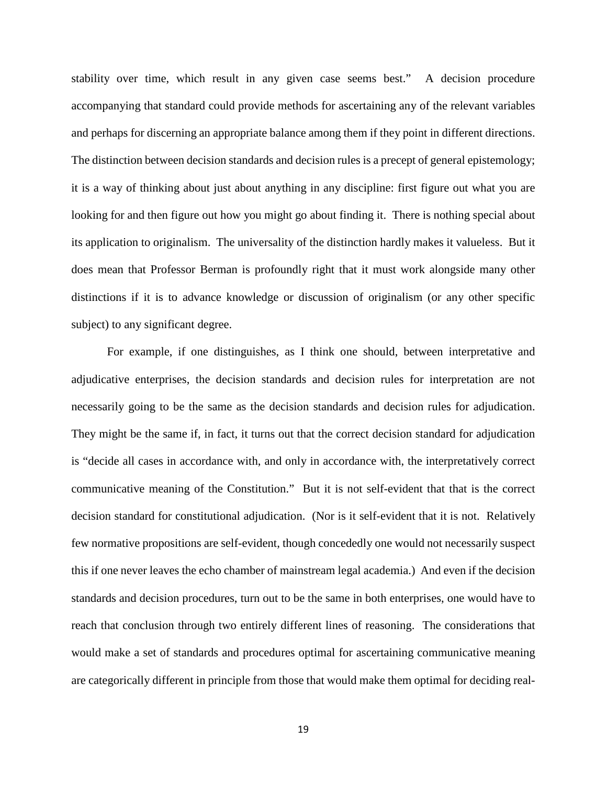stability over time, which result in any given case seems best." A decision procedure accompanying that standard could provide methods for ascertaining any of the relevant variables and perhaps for discerning an appropriate balance among them if they point in different directions. The distinction between decision standards and decision rules is a precept of general epistemology; it is a way of thinking about just about anything in any discipline: first figure out what you are looking for and then figure out how you might go about finding it. There is nothing special about its application to originalism. The universality of the distinction hardly makes it valueless. But it does mean that Professor Berman is profoundly right that it must work alongside many other distinctions if it is to advance knowledge or discussion of originalism (or any other specific subject) to any significant degree.

For example, if one distinguishes, as I think one should, between interpretative and adjudicative enterprises, the decision standards and decision rules for interpretation are not necessarily going to be the same as the decision standards and decision rules for adjudication. They might be the same if, in fact, it turns out that the correct decision standard for adjudication is "decide all cases in accordance with, and only in accordance with, the interpretatively correct communicative meaning of the Constitution." But it is not self-evident that that is the correct decision standard for constitutional adjudication. (Nor is it self-evident that it is not. Relatively few normative propositions are self-evident, though concededly one would not necessarily suspect this if one never leaves the echo chamber of mainstream legal academia.) And even if the decision standards and decision procedures, turn out to be the same in both enterprises, one would have to reach that conclusion through two entirely different lines of reasoning. The considerations that would make a set of standards and procedures optimal for ascertaining communicative meaning are categorically different in principle from those that would make them optimal for deciding real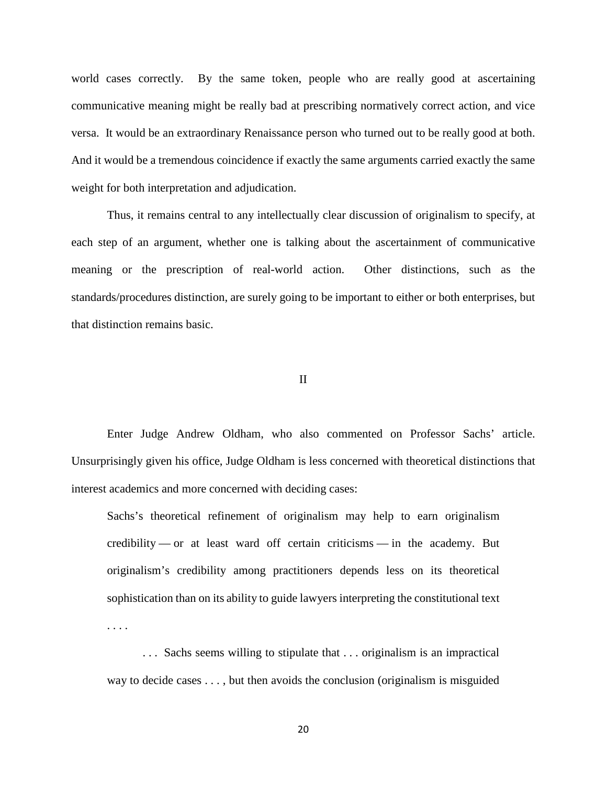world cases correctly. By the same token, people who are really good at ascertaining communicative meaning might be really bad at prescribing normatively correct action, and vice versa. It would be an extraordinary Renaissance person who turned out to be really good at both. And it would be a tremendous coincidence if exactly the same arguments carried exactly the same weight for both interpretation and adjudication.

Thus, it remains central to any intellectually clear discussion of originalism to specify, at each step of an argument, whether one is talking about the ascertainment of communicative meaning or the prescription of real-world action. Other distinctions, such as the standards/procedures distinction, are surely going to be important to either or both enterprises, but that distinction remains basic.

### II

Enter Judge Andrew Oldham, who also commented on Professor Sachs' article. Unsurprisingly given his office, Judge Oldham is less concerned with theoretical distinctions that interest academics and more concerned with deciding cases:

Sachs's theoretical refinement of originalism may help to earn originalism credibility — or at least ward off certain criticisms — in the academy. But originalism's credibility among practitioners depends less on its theoretical sophistication than on its ability to guide lawyers interpreting the constitutional text . . . .

. . . Sachs seems willing to stipulate that . . . originalism is an impractical way to decide cases . . . , but then avoids the conclusion (originalism is misguided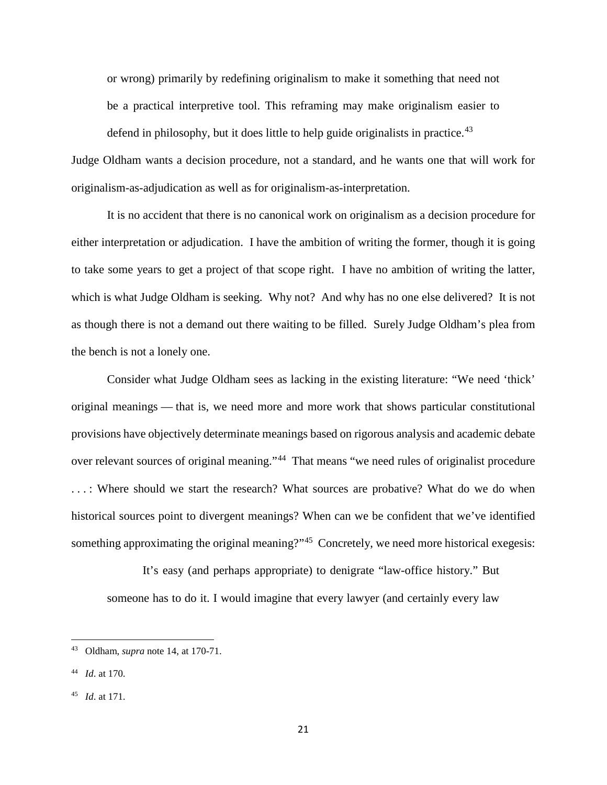or wrong) primarily by redefining originalism to make it something that need not be a practical interpretive tool. This reframing may make originalism easier to

defend in philosophy, but it does little to help guide originalists in practice.<sup>[43](#page-22-0)</sup>

Judge Oldham wants a decision procedure, not a standard, and he wants one that will work for originalism-as-adjudication as well as for originalism-as-interpretation.

It is no accident that there is no canonical work on originalism as a decision procedure for either interpretation or adjudication. I have the ambition of writing the former, though it is going to take some years to get a project of that scope right. I have no ambition of writing the latter, which is what Judge Oldham is seeking. Why not? And why has no one else delivered? It is not as though there is not a demand out there waiting to be filled. Surely Judge Oldham's plea from the bench is not a lonely one.

Consider what Judge Oldham sees as lacking in the existing literature: "We need 'thick' original meanings — that is, we need more and more work that shows particular constitutional provisions have objectively determinate meanings based on rigorous analysis and academic debate over relevant sources of original meaning."<sup>44</sup> That means "we need rules of originalist procedure ...: Where should we start the research? What sources are probative? What do we do when historical sources point to divergent meanings? When can we be confident that we've identified something approximating the original meaning?"<sup>45</sup> Concretely, we need more historical exegesis:

It's easy (and perhaps appropriate) to denigrate "law-office history." But someone has to do it. I would imagine that every lawyer (and certainly every law

 $\overline{a}$ 

<span id="page-22-0"></span><sup>43</sup> Oldham, *supra* note 14, at 170-71.

<span id="page-22-1"></span><sup>44</sup> *Id*. at 170.

<span id="page-22-2"></span><sup>45</sup> *Id*. at 171.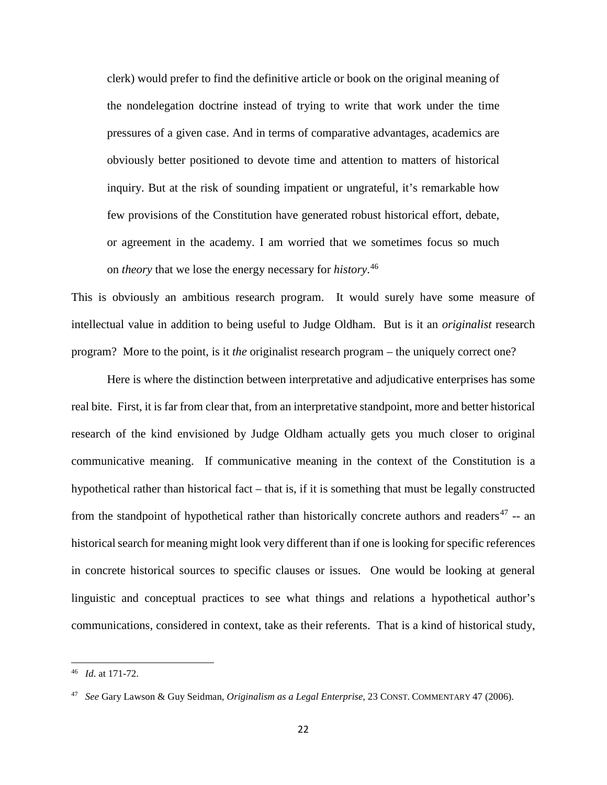clerk) would prefer to find the definitive article or book on the original meaning of the nondelegation doctrine instead of trying to write that work under the time pressures of a given case. And in terms of comparative advantages, academics are obviously better positioned to devote time and attention to matters of historical inquiry. But at the risk of sounding impatient or ungrateful, it's remarkable how few provisions of the Constitution have generated robust historical effort, debate, or agreement in the academy. I am worried that we sometimes focus so much on *theory* that we lose the energy necessary for *history*. [46](#page-23-0)

This is obviously an ambitious research program. It would surely have some measure of intellectual value in addition to being useful to Judge Oldham. But is it an *originalist* research program? More to the point, is it *the* originalist research program – the uniquely correct one?

Here is where the distinction between interpretative and adjudicative enterprises has some real bite. First, it is far from clear that, from an interpretative standpoint, more and better historical research of the kind envisioned by Judge Oldham actually gets you much closer to original communicative meaning. If communicative meaning in the context of the Constitution is a hypothetical rather than historical fact – that is, if it is something that must be legally constructed from the standpoint of hypothetical rather than historically concrete authors and readers<sup>[47](#page-23-1)</sup> -- an historical search for meaning might look very different than if one is looking for specific references in concrete historical sources to specific clauses or issues. One would be looking at general linguistic and conceptual practices to see what things and relations a hypothetical author's communications, considered in context, take as their referents. That is a kind of historical study,

<span id="page-23-0"></span><sup>46</sup> *Id*. at 171-72.

<span id="page-23-1"></span><sup>47</sup> *See* Gary Lawson & Guy Seidman, *Originalism as a Legal Enterprise,* 23 CONST. COMMENTARY 47 (2006).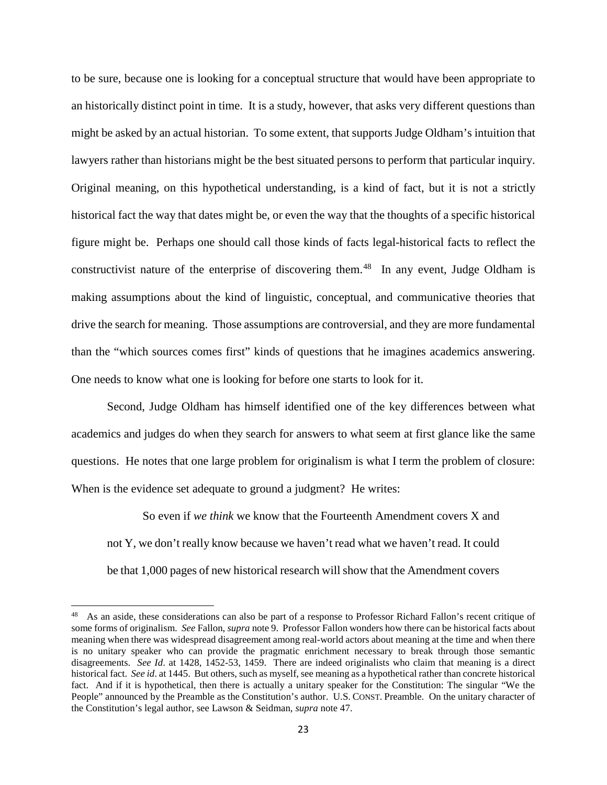to be sure, because one is looking for a conceptual structure that would have been appropriate to an historically distinct point in time. It is a study, however, that asks very different questions than might be asked by an actual historian. To some extent, that supports Judge Oldham's intuition that lawyers rather than historians might be the best situated persons to perform that particular inquiry. Original meaning, on this hypothetical understanding, is a kind of fact, but it is not a strictly historical fact the way that dates might be, or even the way that the thoughts of a specific historical figure might be. Perhaps one should call those kinds of facts legal-historical facts to reflect the constructivist nature of the enterprise of discovering them.<sup>48</sup> In any event, Judge Oldham is making assumptions about the kind of linguistic, conceptual, and communicative theories that drive the search for meaning. Those assumptions are controversial, and they are more fundamental than the "which sources comes first" kinds of questions that he imagines academics answering. One needs to know what one is looking for before one starts to look for it.

Second, Judge Oldham has himself identified one of the key differences between what academics and judges do when they search for answers to what seem at first glance like the same questions. He notes that one large problem for originalism is what I term the problem of closure: When is the evidence set adequate to ground a judgment? He writes:

So even if *we think* we know that the Fourteenth Amendment covers X and not Y, we don't really know because we haven't read what we haven't read. It could be that 1,000 pages of new historical research will show that the Amendment covers

<span id="page-24-0"></span><sup>48</sup> As an aside, these considerations can also be part of a response to Professor Richard Fallon's recent critique of some forms of originalism. *See* Fallon, *supra* note 9. Professor Fallon wonders how there can be historical facts about meaning when there was widespread disagreement among real-world actors about meaning at the time and when there is no unitary speaker who can provide the pragmatic enrichment necessary to break through those semantic disagreements. *See Id*. at 1428, 1452-53, 1459. There are indeed originalists who claim that meaning is a direct historical fact. *See id*. at 1445. But others, such as myself, see meaning as a hypothetical rather than concrete historical fact. And if it is hypothetical, then there is actually a unitary speaker for the Constitution: The singular "We the People" announced by the Preamble as the Constitution's author. U.S. CONST. Preamble. On the unitary character of the Constitution's legal author, see Lawson & Seidman, *supra* note 47.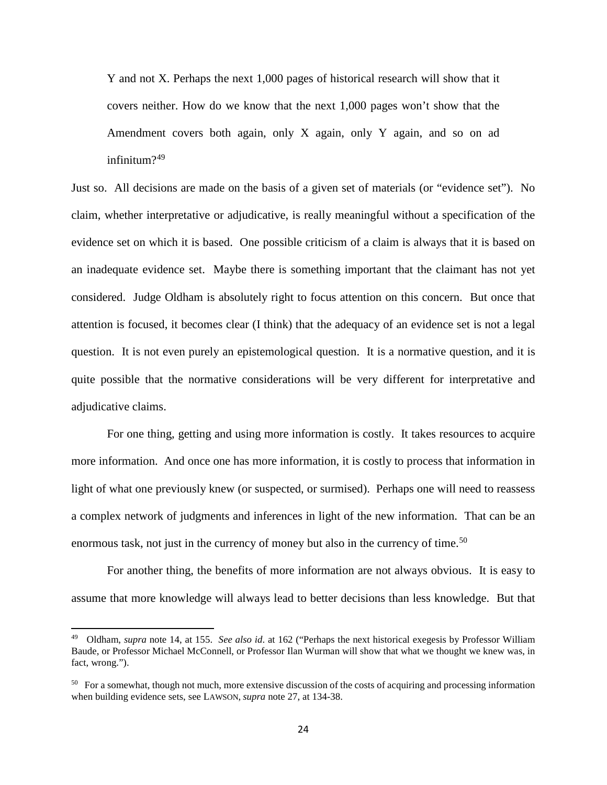Y and not X. Perhaps the next 1,000 pages of historical research will show that it covers neither. How do we know that the next 1,000 pages won't show that the Amendment covers both again, only X again, only Y again, and so on ad infinitum?[49](#page-25-0)

Just so. All decisions are made on the basis of a given set of materials (or "evidence set"). No claim, whether interpretative or adjudicative, is really meaningful without a specification of the evidence set on which it is based. One possible criticism of a claim is always that it is based on an inadequate evidence set. Maybe there is something important that the claimant has not yet considered. Judge Oldham is absolutely right to focus attention on this concern. But once that attention is focused, it becomes clear (I think) that the adequacy of an evidence set is not a legal question. It is not even purely an epistemological question. It is a normative question, and it is quite possible that the normative considerations will be very different for interpretative and adjudicative claims.

For one thing, getting and using more information is costly. It takes resources to acquire more information. And once one has more information, it is costly to process that information in light of what one previously knew (or suspected, or surmised). Perhaps one will need to reassess a complex network of judgments and inferences in light of the new information. That can be an enormous task, not just in the currency of money but also in the currency of time.<sup>[50](#page-25-1)</sup>

For another thing, the benefits of more information are not always obvious. It is easy to assume that more knowledge will always lead to better decisions than less knowledge. But that

<span id="page-25-0"></span><sup>49</sup> Oldham, *supra* note 14, at 155. *See also id*. at 162 ("Perhaps the next historical exegesis by Professor William Baude, or Professor Michael McConnell, or Professor Ilan Wurman will show that what we thought we knew was, in fact, wrong.").

<span id="page-25-1"></span><sup>&</sup>lt;sup>50</sup> For a somewhat, though not much, more extensive discussion of the costs of acquiring and processing information when building evidence sets, see LAWSON, *supra* note 27, at 134-38.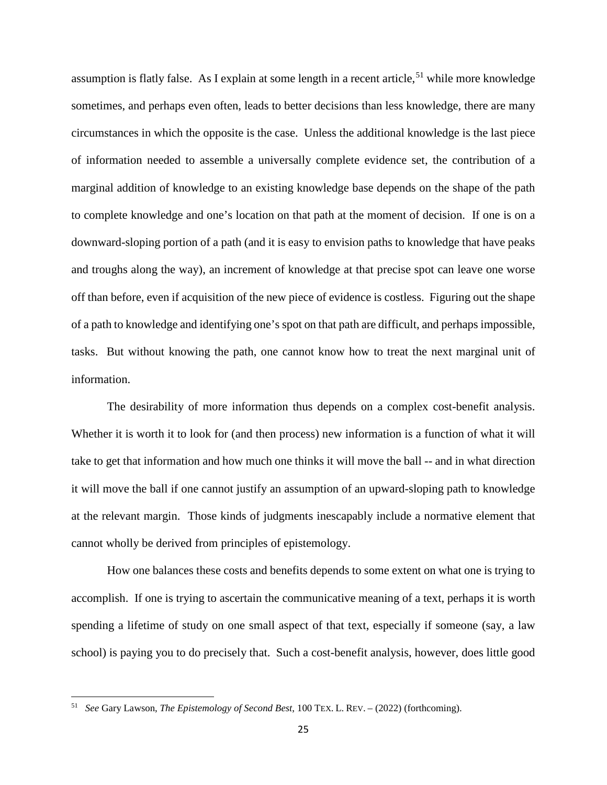assumption is flatly false. As I explain at some length in a recent article,<sup>[51](#page-26-0)</sup> while more knowledge sometimes, and perhaps even often, leads to better decisions than less knowledge, there are many circumstances in which the opposite is the case. Unless the additional knowledge is the last piece of information needed to assemble a universally complete evidence set, the contribution of a marginal addition of knowledge to an existing knowledge base depends on the shape of the path to complete knowledge and one's location on that path at the moment of decision. If one is on a downward-sloping portion of a path (and it is easy to envision paths to knowledge that have peaks and troughs along the way), an increment of knowledge at that precise spot can leave one worse off than before, even if acquisition of the new piece of evidence is costless. Figuring out the shape of a path to knowledge and identifying one's spot on that path are difficult, and perhaps impossible, tasks. But without knowing the path, one cannot know how to treat the next marginal unit of information.

The desirability of more information thus depends on a complex cost-benefit analysis. Whether it is worth it to look for (and then process) new information is a function of what it will take to get that information and how much one thinks it will move the ball -- and in what direction it will move the ball if one cannot justify an assumption of an upward-sloping path to knowledge at the relevant margin. Those kinds of judgments inescapably include a normative element that cannot wholly be derived from principles of epistemology.

How one balances these costs and benefits depends to some extent on what one is trying to accomplish. If one is trying to ascertain the communicative meaning of a text, perhaps it is worth spending a lifetime of study on one small aspect of that text, especially if someone (say, a law school) is paying you to do precisely that. Such a cost-benefit analysis, however, does little good

<span id="page-26-0"></span><sup>51</sup> *See* Gary Lawson, *The Epistemology of Second Best*, 100 TEX. L. REV. – (2022) (forthcoming).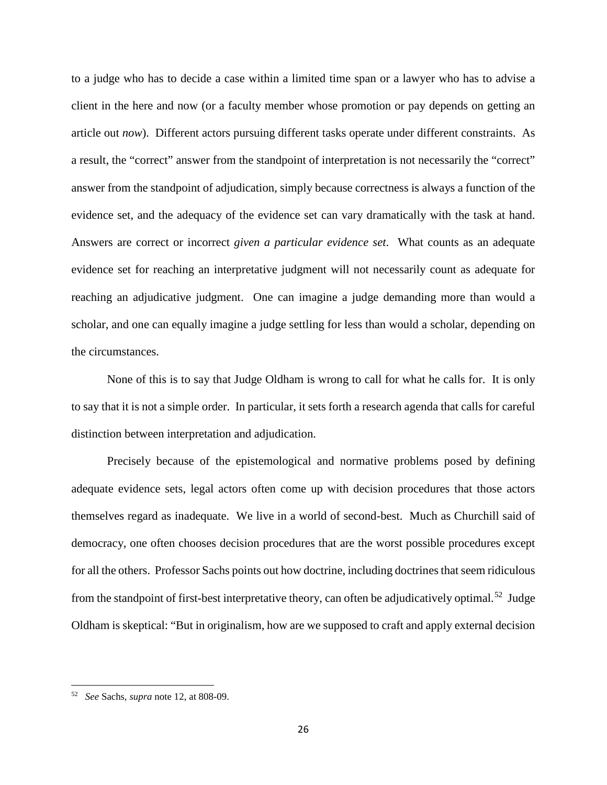to a judge who has to decide a case within a limited time span or a lawyer who has to advise a client in the here and now (or a faculty member whose promotion or pay depends on getting an article out *now*). Different actors pursuing different tasks operate under different constraints. As a result, the "correct" answer from the standpoint of interpretation is not necessarily the "correct" answer from the standpoint of adjudication, simply because correctness is always a function of the evidence set, and the adequacy of the evidence set can vary dramatically with the task at hand. Answers are correct or incorrect *given a particular evidence set*. What counts as an adequate evidence set for reaching an interpretative judgment will not necessarily count as adequate for reaching an adjudicative judgment. One can imagine a judge demanding more than would a scholar, and one can equally imagine a judge settling for less than would a scholar, depending on the circumstances.

None of this is to say that Judge Oldham is wrong to call for what he calls for. It is only to say that it is not a simple order. In particular, it sets forth a research agenda that calls for careful distinction between interpretation and adjudication.

Precisely because of the epistemological and normative problems posed by defining adequate evidence sets, legal actors often come up with decision procedures that those actors themselves regard as inadequate. We live in a world of second-best. Much as Churchill said of democracy, one often chooses decision procedures that are the worst possible procedures except for all the others. Professor Sachs points out how doctrine, including doctrines that seem ridiculous from the standpoint of first-best interpretative theory, can often be adjudicatively optimal.<sup>[52](#page-27-0)</sup> Judge Oldham is skeptical: "But in originalism, how are we supposed to craft and apply external decision

<span id="page-27-0"></span><sup>52</sup> *See* Sachs, *supra* note 12, at 808-09.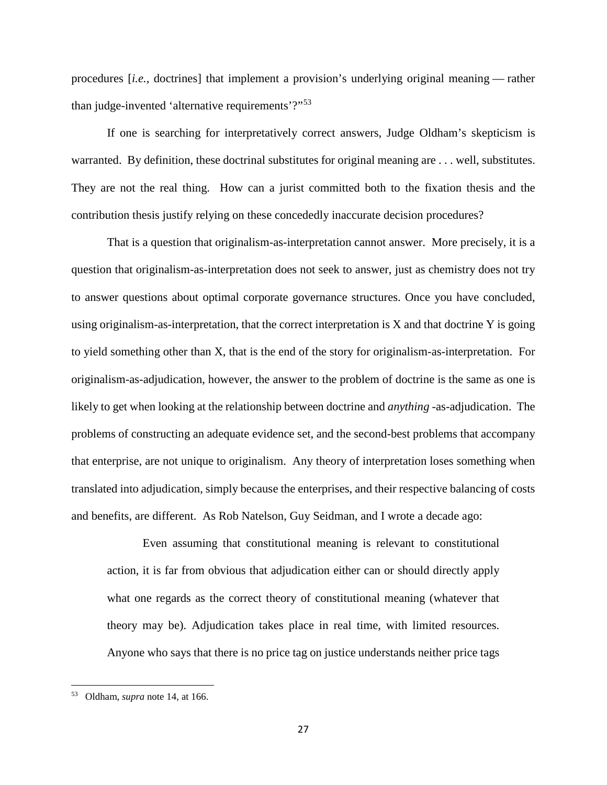procedures [*i.e.,* doctrines] that implement a provision's underlying original meaning — rather than judge-invented 'alternative requirements'?"<sup>[53](#page-28-0)</sup>

If one is searching for interpretatively correct answers, Judge Oldham's skepticism is warranted. By definition, these doctrinal substitutes for original meaning are . . . well, substitutes. They are not the real thing. How can a jurist committed both to the fixation thesis and the contribution thesis justify relying on these concededly inaccurate decision procedures?

That is a question that originalism-as-interpretation cannot answer. More precisely, it is a question that originalism-as-interpretation does not seek to answer, just as chemistry does not try to answer questions about optimal corporate governance structures. Once you have concluded, using originalism-as-interpretation, that the correct interpretation is  $X$  and that doctrine  $Y$  is going to yield something other than X, that is the end of the story for originalism-as-interpretation. For originalism-as-adjudication, however, the answer to the problem of doctrine is the same as one is likely to get when looking at the relationship between doctrine and *anything* -as-adjudication. The problems of constructing an adequate evidence set, and the second-best problems that accompany that enterprise, are not unique to originalism. Any theory of interpretation loses something when translated into adjudication, simply because the enterprises, and their respective balancing of costs and benefits, are different. As Rob Natelson, Guy Seidman, and I wrote a decade ago:

Even assuming that constitutional meaning is relevant to constitutional action, it is far from obvious that adjudication either can or should directly apply what one regards as the correct theory of constitutional meaning (whatever that theory may be). Adjudication takes place in real time, with limited resources. Anyone who says that there is no price tag on justice understands neither price tags

<span id="page-28-0"></span><sup>53</sup> Oldham, *supra* note 14, at 166.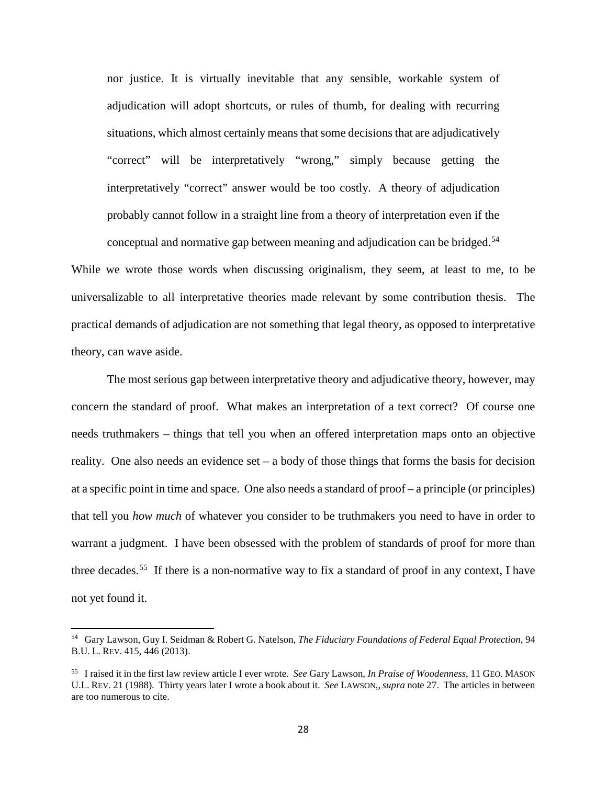nor justice. It is virtually inevitable that any sensible, workable system of adjudication will adopt shortcuts, or rules of thumb, for dealing with recurring situations, which almost certainly means that some decisions that are adjudicatively "correct" will be interpretatively "wrong," simply because getting the interpretatively "correct" answer would be too costly. A theory of adjudication probably cannot follow in a straight line from a theory of interpretation even if the conceptual and normative gap between meaning and adjudication can be bridged.[54](#page-29-0)

While we wrote those words when discussing originalism, they seem, at least to me, to be universalizable to all interpretative theories made relevant by some contribution thesis. The practical demands of adjudication are not something that legal theory, as opposed to interpretative theory, can wave aside.

The most serious gap between interpretative theory and adjudicative theory, however, may concern the standard of proof. What makes an interpretation of a text correct? Of course one needs truthmakers – things that tell you when an offered interpretation maps onto an objective reality. One also needs an evidence set – a body of those things that forms the basis for decision at a specific point in time and space. One also needs a standard of proof – a principle (or principles) that tell you *how much* of whatever you consider to be truthmakers you need to have in order to warrant a judgment. I have been obsessed with the problem of standards of proof for more than three decades.<sup>55</sup> If there is a non-normative way to fix a standard of proof in any context, I have not yet found it.

<span id="page-29-0"></span><sup>54</sup> Gary Lawson, Guy I. Seidman & Robert G. Natelson, *The Fiduciary Foundations of Federal Equal Protection*, 94 B.U. L. REV. 415, 446 (2013).

<span id="page-29-1"></span><sup>55</sup> I raised it in the first law review article I ever wrote. *See* Gary Lawson, *In Praise of Woodenness*, 11 GEO. MASON U.L. REV. 21 (1988). Thirty years later I wrote a book about it. *See* LAWSON,,*supra* note 27. The articles in between are too numerous to cite.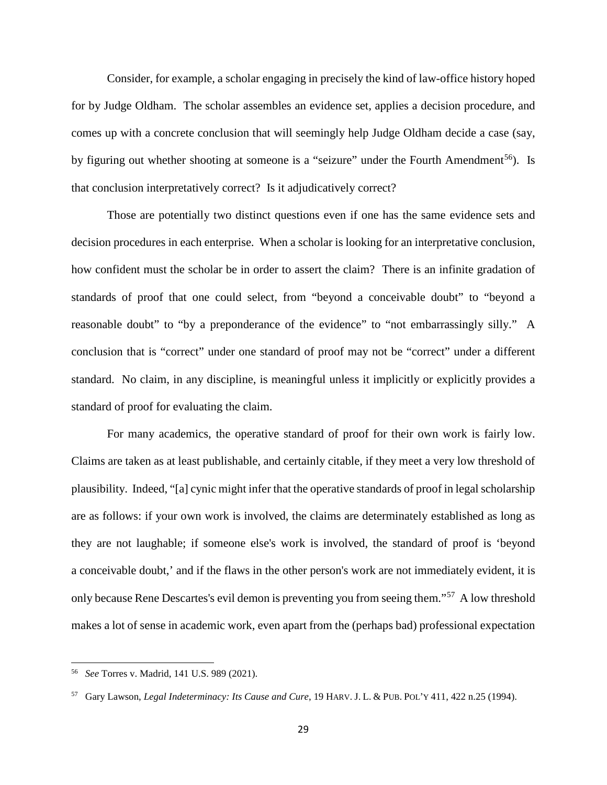Consider, for example, a scholar engaging in precisely the kind of law-office history hoped for by Judge Oldham. The scholar assembles an evidence set, applies a decision procedure, and comes up with a concrete conclusion that will seemingly help Judge Oldham decide a case (say, by figuring out whether shooting at someone is a "seizure" under the Fourth Amendment<sup>[56](#page-30-0)</sup>). Is that conclusion interpretatively correct? Is it adjudicatively correct?

Those are potentially two distinct questions even if one has the same evidence sets and decision procedures in each enterprise. When a scholar is looking for an interpretative conclusion, how confident must the scholar be in order to assert the claim? There is an infinite gradation of standards of proof that one could select, from "beyond a conceivable doubt" to "beyond a reasonable doubt" to "by a preponderance of the evidence" to "not embarrassingly silly." A conclusion that is "correct" under one standard of proof may not be "correct" under a different standard. No claim, in any discipline, is meaningful unless it implicitly or explicitly provides a standard of proof for evaluating the claim.

For many academics, the operative standard of proof for their own work is fairly low. Claims are taken as at least publishable, and certainly citable, if they meet a very low threshold of plausibility. Indeed, "[a] cynic might infer that the operative standards of proof in legal scholarship are as follows: if your own work is involved, the claims are determinately established as long as they are not laughable; if someone else's work is involved, the standard of proof is 'beyond a conceivable doubt,' and if the flaws in the other person's work are not immediately evident, it is only because Rene Descartes's evil demon is preventing you from seeing them."<sup>[57](#page-30-1)</sup> A low threshold makes a lot of sense in academic work, even apart from the (perhaps bad) professional expectation

<span id="page-30-0"></span><sup>56</sup> *See* Torres v. Madrid, 141 U.S. 989 (2021).

<span id="page-30-1"></span><sup>57</sup> Gary Lawson, *Legal Indeterminacy: Its Cause and Cure*, 19 HARV. J. L. & PUB. POL'Y 411, 422 n.25 (1994).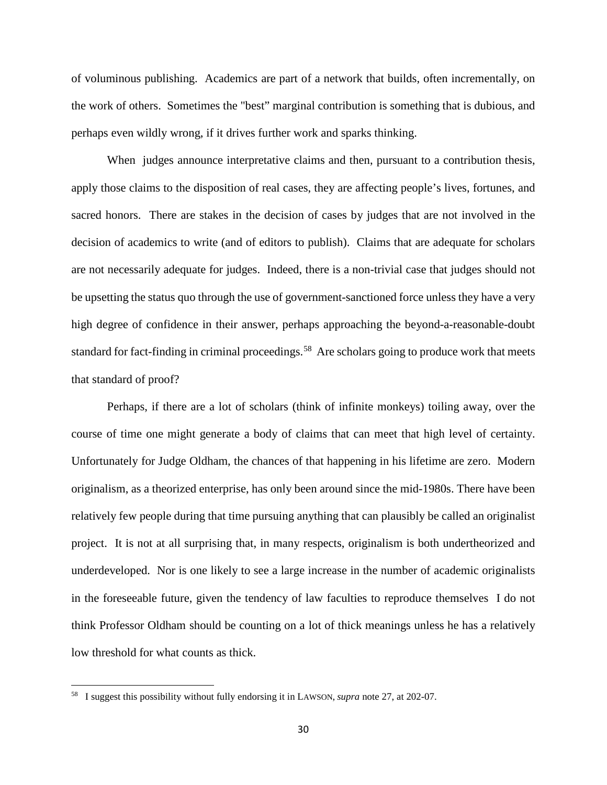of voluminous publishing. Academics are part of a network that builds, often incrementally, on the work of others. Sometimes the "best" marginal contribution is something that is dubious, and perhaps even wildly wrong, if it drives further work and sparks thinking.

When judges announce interpretative claims and then, pursuant to a contribution thesis, apply those claims to the disposition of real cases, they are affecting people's lives, fortunes, and sacred honors. There are stakes in the decision of cases by judges that are not involved in the decision of academics to write (and of editors to publish). Claims that are adequate for scholars are not necessarily adequate for judges. Indeed, there is a non-trivial case that judges should not be upsetting the status quo through the use of government-sanctioned force unless they have a very high degree of confidence in their answer, perhaps approaching the beyond-a-reasonable-doubt standard for fact-finding in criminal proceedings.<sup>58</sup> Are scholars going to produce work that meets that standard of proof?

Perhaps, if there are a lot of scholars (think of infinite monkeys) toiling away, over the course of time one might generate a body of claims that can meet that high level of certainty. Unfortunately for Judge Oldham, the chances of that happening in his lifetime are zero. Modern originalism, as a theorized enterprise, has only been around since the mid-1980s. There have been relatively few people during that time pursuing anything that can plausibly be called an originalist project. It is not at all surprising that, in many respects, originalism is both undertheorized and underdeveloped. Nor is one likely to see a large increase in the number of academic originalists in the foreseeable future, given the tendency of law faculties to reproduce themselves I do not think Professor Oldham should be counting on a lot of thick meanings unless he has a relatively low threshold for what counts as thick.

<span id="page-31-0"></span><sup>58</sup> I suggest this possibility without fully endorsing it in LAWSON, *supra* note 27, at 202-07.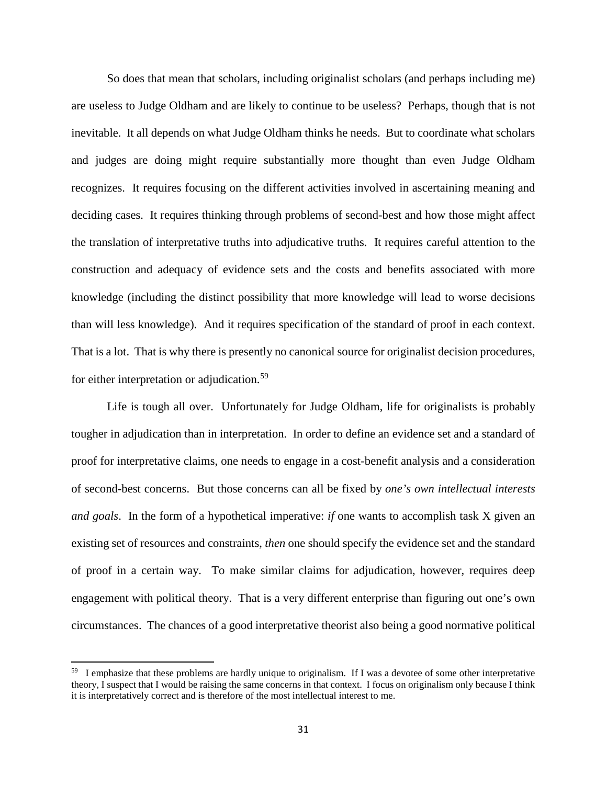So does that mean that scholars, including originalist scholars (and perhaps including me) are useless to Judge Oldham and are likely to continue to be useless? Perhaps, though that is not inevitable. It all depends on what Judge Oldham thinks he needs. But to coordinate what scholars and judges are doing might require substantially more thought than even Judge Oldham recognizes. It requires focusing on the different activities involved in ascertaining meaning and deciding cases. It requires thinking through problems of second-best and how those might affect the translation of interpretative truths into adjudicative truths. It requires careful attention to the construction and adequacy of evidence sets and the costs and benefits associated with more knowledge (including the distinct possibility that more knowledge will lead to worse decisions than will less knowledge). And it requires specification of the standard of proof in each context. That is a lot. That is why there is presently no canonical source for originalist decision procedures, for either interpretation or adjudication.<sup>[59](#page-32-0)</sup>

Life is tough all over. Unfortunately for Judge Oldham, life for originalists is probably tougher in adjudication than in interpretation. In order to define an evidence set and a standard of proof for interpretative claims, one needs to engage in a cost-benefit analysis and a consideration of second-best concerns. But those concerns can all be fixed by *one's own intellectual interests and goals*. In the form of a hypothetical imperative: *if* one wants to accomplish task X given an existing set of resources and constraints, *then* one should specify the evidence set and the standard of proof in a certain way. To make similar claims for adjudication, however, requires deep engagement with political theory. That is a very different enterprise than figuring out one's own circumstances. The chances of a good interpretative theorist also being a good normative political

<span id="page-32-0"></span><sup>&</sup>lt;sup>59</sup> I emphasize that these problems are hardly unique to originalism. If I was a devotee of some other interpretative theory, I suspect that I would be raising the same concerns in that context. I focus on originalism only because I think it is interpretatively correct and is therefore of the most intellectual interest to me.